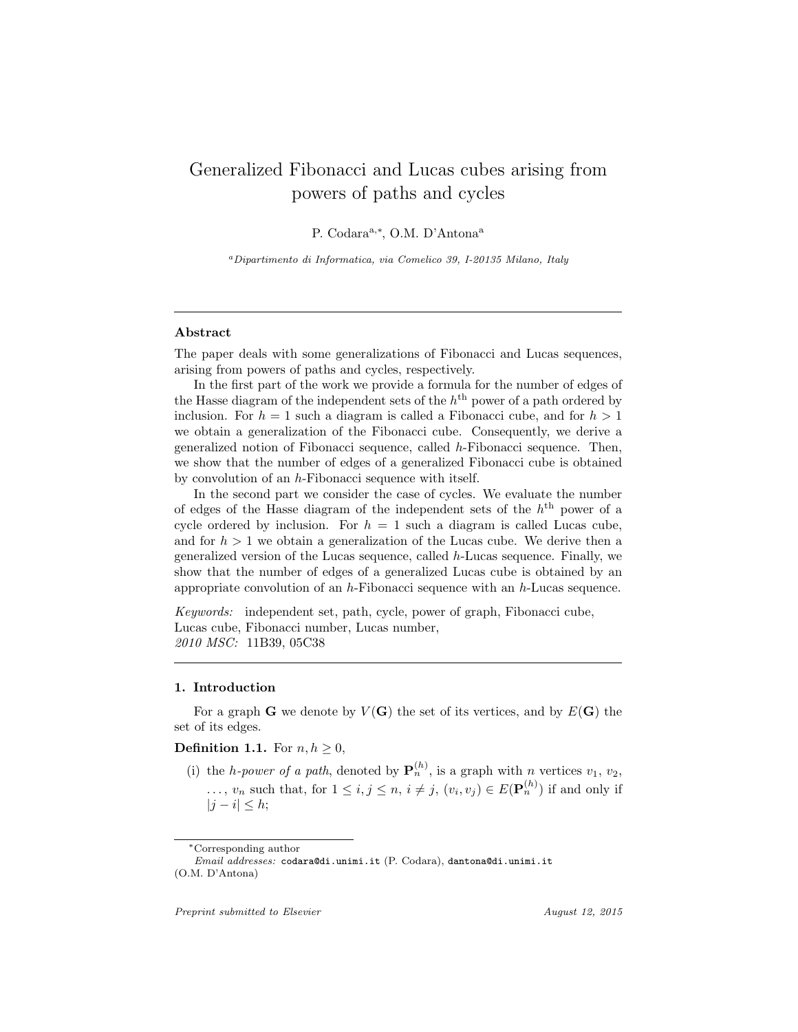# Generalized Fibonacci and Lucas cubes arising from powers of paths and cycles

P. Codara<sup>a,\*</sup>, O.M. D'Antona<sup>a</sup>

<sup>a</sup>Dipartimento di Informatica, via Comelico 39, I-20135 Milano, Italy

#### Abstract

The paper deals with some generalizations of Fibonacci and Lucas sequences, arising from powers of paths and cycles, respectively.

In the first part of the work we provide a formula for the number of edges of the Hasse diagram of the independent sets of the  $h<sup>th</sup>$  power of a path ordered by inclusion. For  $h = 1$  such a diagram is called a Fibonacci cube, and for  $h > 1$ we obtain a generalization of the Fibonacci cube. Consequently, we derive a generalized notion of Fibonacci sequence, called h-Fibonacci sequence. Then, we show that the number of edges of a generalized Fibonacci cube is obtained by convolution of an h-Fibonacci sequence with itself.

In the second part we consider the case of cycles. We evaluate the number of edges of the Hasse diagram of the independent sets of the  $h<sup>th</sup>$  power of a cycle ordered by inclusion. For  $h = 1$  such a diagram is called Lucas cube, and for  $h > 1$  we obtain a generalization of the Lucas cube. We derive then a generalized version of the Lucas sequence, called h-Lucas sequence. Finally, we show that the number of edges of a generalized Lucas cube is obtained by an appropriate convolution of an h-Fibonacci sequence with an h-Lucas sequence.

Keywords: independent set, path, cycle, power of graph, Fibonacci cube, Lucas cube, Fibonacci number, Lucas number, 2010 MSC: 11B39, 05C38

## 1. Introduction

For a graph G we denote by  $V(G)$  the set of its vertices, and by  $E(G)$  the set of its edges.

# **Definition 1.1.** For  $n, h \geq 0$ ,

(i) the *h-power of a path*, denoted by  $\mathbf{P}_n^{(h)}$ , is a graph with *n* vertices  $v_1, v_2$ , ...,  $v_n$  such that, for  $1 \leq i, j \leq n$ ,  $i \neq j$ ,  $(v_i, v_j) \in E(\mathbf{P}_n^{(h)})$  if and only if  $|j - i| \leq h;$ 

Preprint submitted to Elsevier August 12, 2015

<sup>∗</sup>Corresponding author

Email addresses: codara@di.unimi.it (P. Codara), dantona@di.unimi.it (O.M. D'Antona)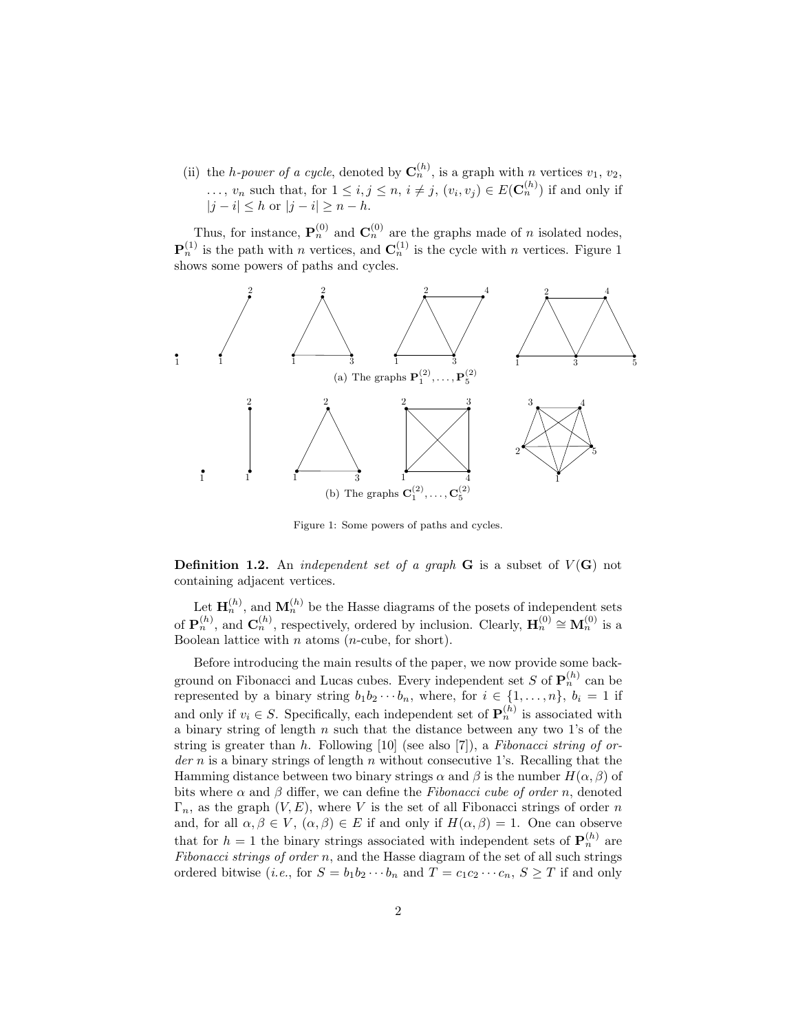(ii) the *h-power of a cycle*, denoted by  $\mathbf{C}_n^{(h)}$ , is a graph with *n* vertices  $v_1, v_2$ ,  $\ldots, v_n$  such that, for  $1 \leq i, j \leq n, i \neq j, (v_i, v_j) \in E(\mathbf{C}_n^{(h)})$  if and only if  $|j - i| \leq h$  or  $|j - i| \geq n - h$ .

Thus, for instance,  $\mathbf{P}_n^{(0)}$  and  $\mathbf{C}_n^{(0)}$  are the graphs made of *n* isolated nodes,  $\mathbf{P}_n^{(1)}$  is the path with n vertices, and  $\mathbf{C}_n^{(1)}$  is the cycle with n vertices. Figure 1 shows some powers of paths and cycles.



Figure 1: Some powers of paths and cycles.

**Definition 1.2.** An *independent set of a graph* **G** is a subset of  $V(G)$  not containing adjacent vertices.

Let  $\mathbf{H}_n^{(h)}$ , and  $\mathbf{M}_n^{(h)}$  be the Hasse diagrams of the posets of independent sets of  $\mathbf{P}_n^{(h)}$ , and  $\mathbf{C}_n^{(h)}$ , respectively, ordered by inclusion. Clearly,  $\mathbf{H}_n^{(0)} \cong \mathbf{M}_n^{(0)}$  is a Boolean lattice with n atoms  $(n$ -cube, for short).

Before introducing the main results of the paper, we now provide some background on Fibonacci and Lucas cubes. Every independent set S of  $\mathbf{P}_n^{(h)}$  can be represented by a binary string  $b_1b_2\cdots b_n$ , where, for  $i \in \{1,\ldots,n\}$ ,  $b_i = 1$  if and only if  $v_i \in S$ . Specifically, each independent set of  $\mathbf{P}_n^{(h)}$  is associated with a binary string of length  $n$  such that the distance between any two 1's of the string is greater than h. Following  $[10]$  (see also  $[7]$ ), a Fibonacci string of or $der n$  is a binary strings of length n without consecutive 1's. Recalling that the Hamming distance between two binary strings  $\alpha$  and  $\beta$  is the number  $H(\alpha, \beta)$  of bits where  $\alpha$  and  $\beta$  differ, we can define the Fibonacci cube of order n, denoted  $\Gamma_n$ , as the graph  $(V, E)$ , where V is the set of all Fibonacci strings of order n and, for all  $\alpha, \beta \in V$ ,  $(\alpha, \beta) \in E$  if and only if  $H(\alpha, \beta) = 1$ . One can observe that for  $h = 1$  the binary strings associated with independent sets of  $\mathbf{P}_n^{(h)}$  are Fibonacci strings of order  $n$ , and the Hasse diagram of the set of all such strings ordered bitwise (*i.e.*, for  $S = b_1b_2 \cdots b_n$  and  $T = c_1c_2 \cdots c_n$ ,  $S \geq T$  if and only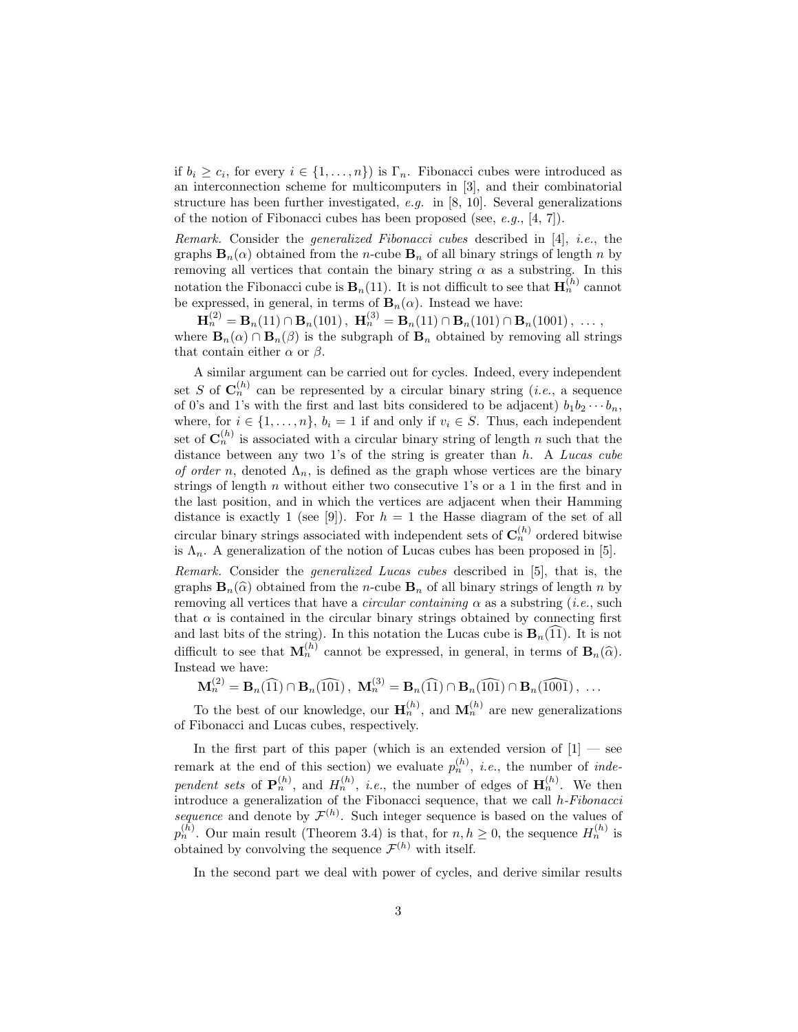if  $b_i \geq c_i$ , for every  $i \in \{1, ..., n\}$  is  $\Gamma_n$ . Fibonacci cubes were introduced as an interconnection scheme for multicomputers in [3], and their combinatorial structure has been further investigated,  $e.g.$  in [8, 10]. Several generalizations of the notion of Fibonacci cubes has been proposed (see, e.g., [4, 7]).

Remark. Consider the generalized Fibonacci cubes described in [4], i.e., the graphs  $\mathbf{B}_n(\alpha)$  obtained from the *n*-cube  $\mathbf{B}_n$  of all binary strings of length *n* by removing all vertices that contain the binary string  $\alpha$  as a substring. In this notation the Fibonacci cube is  $\mathbf{B}_n(11)$ . It is not difficult to see that  $\mathbf{H}_n^{(h)}$  cannot be expressed, in general, in terms of  $\mathbf{B}_n(\alpha)$ . Instead we have:

 $\mathbf{H}_n^{(2)} = \mathbf{B}_n(11) \cap \mathbf{B}_n(101)$ ,  $\mathbf{H}_n^{(3)} = \mathbf{B}_n(11) \cap \mathbf{B}_n(101) \cap \mathbf{B}_n(1001)$ , ... where  $\mathbf{B}_n(\alpha) \cap \mathbf{B}_n(\beta)$  is the subgraph of  $\mathbf{B}_n$  obtained by removing all strings that contain either  $\alpha$  or  $\beta$ .

A similar argument can be carried out for cycles. Indeed, every independent set S of  $\mathbf{C}_n^{(h)}$  can be represented by a circular binary string (*i.e.*, a sequence of 0's and 1's with the first and last bits considered to be adjacent)  $b_1b_2 \cdots b_n$ , where, for  $i \in \{1, \ldots, n\}$ ,  $b_i = 1$  if and only if  $v_i \in S$ . Thus, each independent set of  $\mathbf{C}_n^{(h)}$  is associated with a circular binary string of length n such that the distance between any two 1's of the string is greater than  $h$ . A Lucas cube of order n, denoted  $\Lambda_n$ , is defined as the graph whose vertices are the binary strings of length n without either two consecutive 1's or a 1 in the first and in the last position, and in which the vertices are adjacent when their Hamming distance is exactly 1 (see [9]). For  $h = 1$  the Hasse diagram of the set of all circular binary strings associated with independent sets of  $\mathbf{C}_n^{(h)}$  ordered bitwise is  $\Lambda_n$ . A generalization of the notion of Lucas cubes has been proposed in [5].

Remark. Consider the generalized Lucas cubes described in [5], that is, the graphs  $\mathbf{B}_n(\widehat{\alpha})$  obtained from the n-cube  $\mathbf{B}_n$  of all binary strings of length n by removing all vertices that have a *circular containing*  $\alpha$  as a substring (*i.e.*, such that  $\alpha$  is contained in the circular binary strings obtained by connecting first and last bits of the string). In this notation the Lucas cube is  $\mathbf{B}_n(\widehat{11})$ . It is not difficult to see that  $\mathbf{M}_n^{(h)}$  cannot be expressed, in general, in terms of  $\mathbf{B}_n(\widehat{\alpha})$ . Instead we have:

$$
\mathbf{M}_n^{(2)} = \mathbf{B}_n(\widehat{11}) \cap \mathbf{B}_n(\widehat{101}), \ \mathbf{M}_n^{(3)} = \mathbf{B}_n(\widehat{11}) \cap \mathbf{B}_n(\widehat{101}) \cap \mathbf{B}_n(\widehat{1001}), \ \ldots
$$

To the best of our knowledge, our  $\mathbf{H}_n^{(h)}$ , and  $\mathbf{M}_n^{(h)}$  are new generalizations of Fibonacci and Lucas cubes, respectively.

In the first part of this paper (which is an extended version of  $[1]$  — see remark at the end of this section) we evaluate  $p_n^{(h)}$ , *i.e.*, the number of *inde*pendent sets of  $\mathbf{P}_n^{(h)}$ , and  $H_n^{(h)}$ , *i.e.*, the number of edges of  $\mathbf{H}_n^{(h)}$ . We then introduce a generalization of the Fibonacci sequence, that we call h-Fibonacci sequence and denote by  $\mathcal{F}^{(h)}$ . Such integer sequence is based on the values of  $p_n^{(h)}$ . Our main result (Theorem 3.4) is that, for  $n, h \geq 0$ , the sequence  $H_n^{(h)}$  is obtained by convolving the sequence  $\mathcal{F}^{(h)}$  with itself.

In the second part we deal with power of cycles, and derive similar results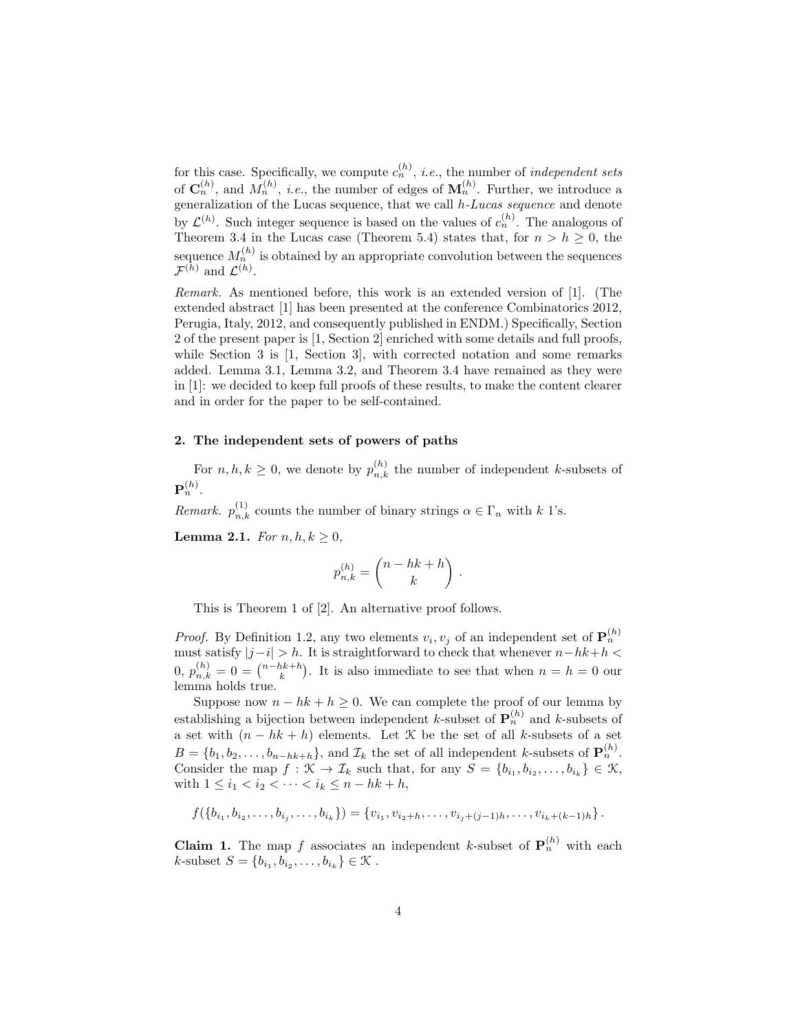for this case. Specifically, we compute  $c_n^{(h)}$ , *i.e.*, the number of *independent sets* of  $\mathbf{C}_n^{(h)}$ , and  $M_n^{(h)}$ , *i.e.*, the number of edges of  $\mathbf{M}_n^{(h)}$ . Further, we introduce a generalization of the Lucas sequence, that we call h-Lucas sequence and denote by  $\mathcal{L}^{(h)}$ . Such integer sequence is based on the values of  $c_n^{(h)}$ . The analogous of Theorem 3.4 in the Lucas case (Theorem 5.4) states that, for  $n > h \geq 0$ , the sequence  $M_n^{(h)}$  is obtained by an appropriate convolution between the sequences  $\mathcal{F}^{(h)}$  and  $\mathcal{L}^{(h)}$ .

Remark. As mentioned before, this work is an extended version of [1]. (The extended abstract [1] has been presented at the conference Combinatorics 2012, Perugia, Italy, 2012, and consequently published in ENDM.) Specifically, Section 2 of the present paper is [1, Section 2] enriched with some details and full proofs, while Section 3 is [1, Section 3], with corrected notation and some remarks added. Lemma 3.1, Lemma 3.2, and Theorem 3.4 have remained as they were in [1]: we decided to keep full proofs of these results, to make the content clearer and in order for the paper to be self-contained.

#### 2. The independent sets of powers of paths

For  $n, h, k \geq 0$ , we denote by  $p_{n,k}^{(h)}$  the number of independent k-subsets of  $\mathbf{P}_n^{(h)}.$ 

*Remark.*  $p_{n,k}^{(1)}$  counts the number of binary strings  $\alpha \in \Gamma_n$  with k 1's.

Lemma 2.1. For  $n, h, k \geq 0$ ,

$$
p_{n,k}^{(h)} = \binom{n-hk+h}{k} \ .
$$

This is Theorem 1 of [2]. An alternative proof follows.

*Proof.* By Definition 1.2, any two elements  $v_i, v_j$  of an independent set of  $\mathbf{P}_n^{(h)}$ must satisfy  $|j-i| > h$ . It is straightforward to check that whenever  $n-hk+h$  < 0,  $p_{n,k}^{(h)} = 0 = \binom{n-hk+h}{k}$ . It is also immediate to see that when  $n = h = 0$  our lemma holds true.

Suppose now  $n - hk + h \geq 0$ . We can complete the proof of our lemma by establishing a bijection between independent k-subset of  $\mathbf{P}_n^{(h)}$  and k-subsets of a set with  $(n - hk + h)$  elements. Let  $\mathcal K$  be the set of all k-subsets of a set  $B = \{b_1, b_2, \ldots, b_{n-hk+h}\},\$  and  $\mathcal{I}_k$  the set of all independent k-subsets of  $\mathbf{P}_n^{(h)}$ . Consider the map  $f : \mathcal{K} \to \mathcal{I}_k$  such that, for any  $S = \{b_{i_1}, b_{i_2}, \ldots, b_{i_k}\} \in \mathcal{K}$ , with  $1 \le i_1 < i_2 < \cdots < i_k \le n - hk + h$ ,

$$
f(\lbrace b_{i_1}, b_{i_2}, \ldots, b_{i_j}, \ldots, b_{i_k} \rbrace) = \lbrace v_{i_1}, v_{i_2+h}, \ldots, v_{i_j+(j-1)h}, \ldots, v_{i_k+(k-1)h} \rbrace.
$$

**Claim 1.** The map f associates an independent k-subset of  $P_n^{(h)}$  with each  $k$ -subset  $S = \{b_{i_1}, b_{i_2}, \dots, b_{i_k}\} \in \mathcal{K}$ .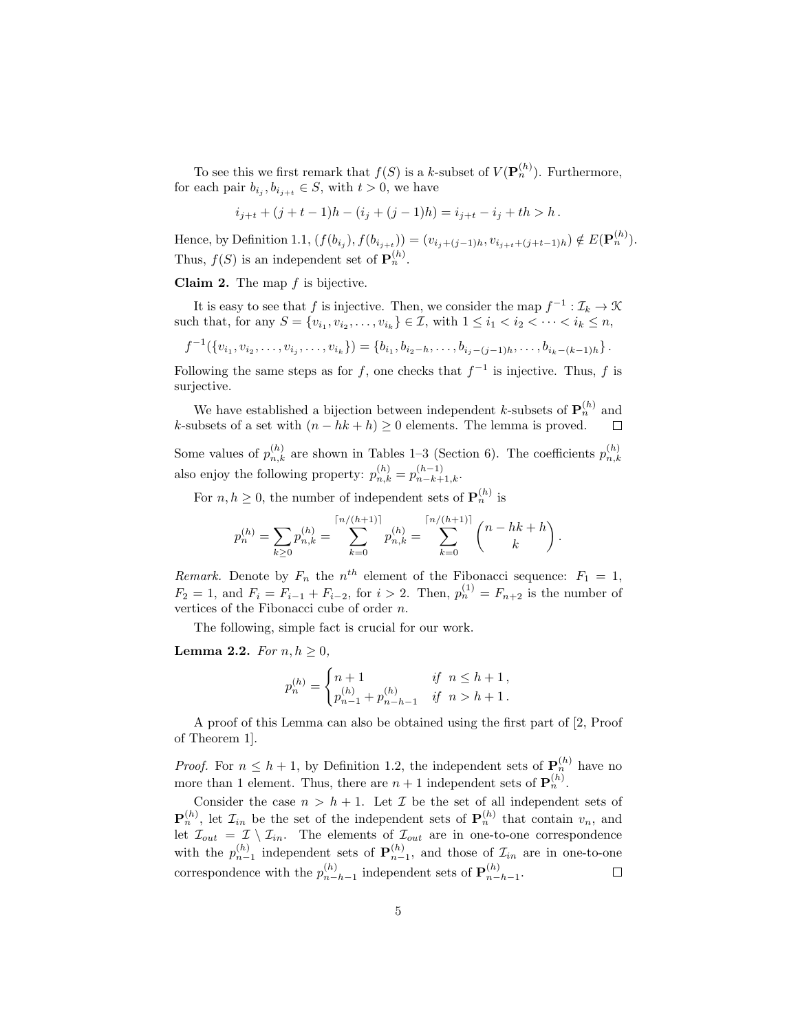To see this we first remark that  $f(S)$  is a k-subset of  $V(\mathbf{P}_n^{(h)})$ . Furthermore, for each pair  $b_{i_j}, b_{i_{j+t}} \in S$ , with  $t > 0$ , we have

$$
i_{j+t}+(j+t-1)h-(i_j+(j-1)h)=i_{j+t}-i_j+th>h\,.
$$

Hence, by Definition 1.1,  $(f(b_{i_j}), f(b_{i_{j+t}})) = (v_{i_j+(j-1)h}, v_{i_{j+t}+(j+t-1)h}) \notin E(\mathbf{P}_n^{(h)})$ . Thus,  $f(S)$  is an independent set of  $\mathbf{P}_n^{(h)}$ .

**Claim 2.** The map  $f$  is bijective.

It is easy to see that f is injective. Then, we consider the map  $f^{-1} : \mathcal{I}_k \to \mathcal{K}$ such that, for any  $S = \{v_{i_1}, v_{i_2}, \dots, v_{i_k}\} \in \mathcal{I}$ , with  $1 \leq i_1 < i_2 < \dots < i_k \leq n$ ,

 $f^{-1}(\lbrace v_{i_1}, v_{i_2}, \ldots, v_{i_j}, \ldots, v_{i_k} \rbrace) = \lbrace b_{i_1}, b_{i_2-h}, \ldots, b_{i_j-(j-1)h}, \ldots, b_{i_k-(k-1)h} \rbrace$ .

Following the same steps as for f, one checks that  $f^{-1}$  is injective. Thus, f is surjective.

We have established a bijection between independent k-subsets of  $\mathbf{P}_n^{(h)}$  and k-subsets of a set with  $(n - hk + h) \ge 0$  elements. The lemma is proved.

Some values of  $p_{n,k}^{(h)}$  are shown in Tables 1–3 (Section 6). The coefficients  $p_{n,k}^{(h)}$  $n,k$ also enjoy the following property:  $p_{n,k}^{(h)} = p_{n-k+1,k}^{(h-1)}$ .

For  $n, h \geq 0$ , the number of independent sets of  $\mathbf{P}_n^{(h)}$  is

$$
p_n^{(h)} = \sum_{k \ge 0} p_{n,k}^{(h)} = \sum_{k=0}^{\lceil n/(h+1) \rceil} p_{n,k}^{(h)} = \sum_{k=0}^{\lceil n/(h+1) \rceil} \binom{n-hk+h}{k}.
$$

Remark. Denote by  $F_n$  the  $n^{th}$  element of the Fibonacci sequence:  $F_1 = 1$ ,  $F_2 = 1$ , and  $F_i = F_{i-1} + F_{i-2}$ , for  $i > 2$ . Then,  $p_n^{(1)} = F_{n+2}$  is the number of vertices of the Fibonacci cube of order  $n$ .

The following, simple fact is crucial for our work.

Lemma 2.2. For  $n, h \geq 0$ ,

$$
p_n^{(h)} = \begin{cases} n+1 & \text{if } n \le h+1, \\ p_{n-1}^{(h)} + p_{n-h-1}^{(h)} & \text{if } n > h+1. \end{cases}
$$

A proof of this Lemma can also be obtained using the first part of [2, Proof of Theorem 1].

*Proof.* For  $n \leq h+1$ , by Definition 1.2, the independent sets of  $\mathbf{P}_n^{(h)}$  have no more than 1 element. Thus, there are  $n+1$  independent sets of  $\mathbf{P}_n^{(h)}$ .

Consider the case  $n > h + 1$ . Let  $\mathcal I$  be the set of all independent sets of  $\mathbf{P}_n^{(h)}$ , let  $\mathcal{I}_{in}$  be the set of the independent sets of  $\mathbf{P}_n^{(h)}$  that contain  $v_n$ , and let  $\mathcal{I}_{out} = \mathcal{I} \setminus \mathcal{I}_{in}$ . The elements of  $\mathcal{I}_{out}$  are in one-to-one correspondence with the  $p_{n-1}^{(h)}$  independent sets of  $\mathbf{P}_{n-1}^{(h)}$ , and those of  $\mathcal{I}_{in}$  are in one-to-one correspondence with the  $p_{n-}^{(h)}$  ${}_{n-h-1}^{(h)}$  independent sets of  $\mathbf{P}_{n-1}^{(h)}$  $\binom{n}{n-h-1}$  $\Box$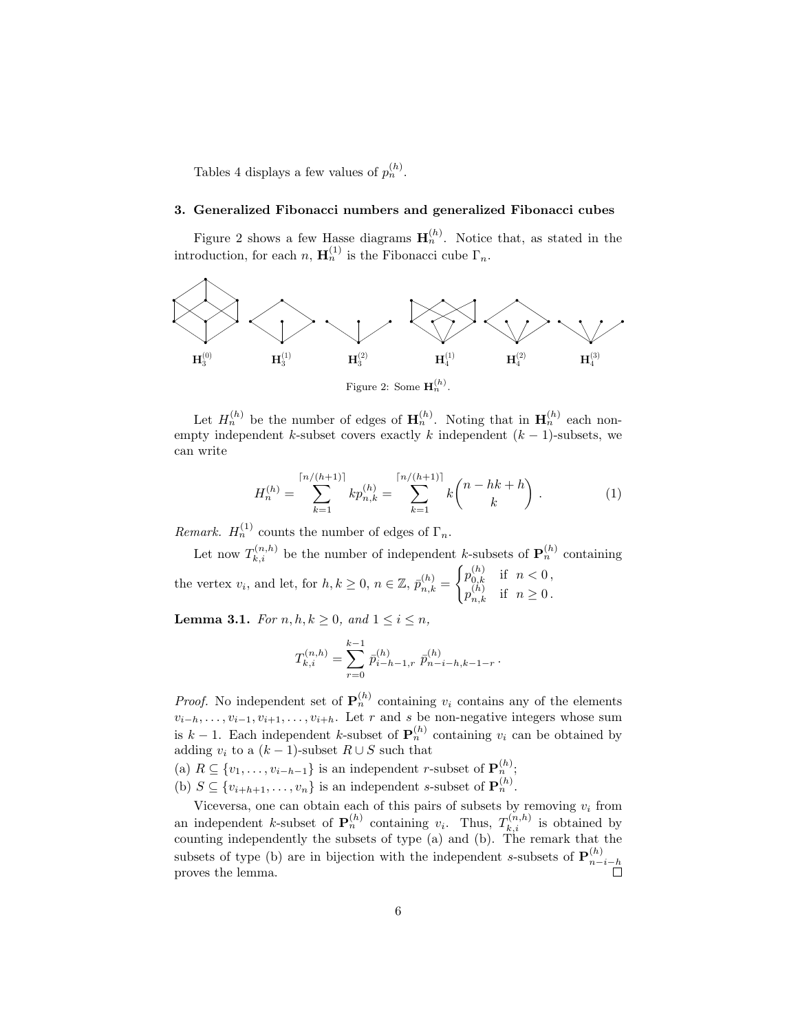Tables 4 displays a few values of  $p_n^{(h)}$ .

#### 3. Generalized Fibonacci numbers and generalized Fibonacci cubes

Figure 2 shows a few Hasse diagrams  $H_n^{(h)}$ . Notice that, as stated in the introduction, for each  $n, H_n^{(1)}$  is the Fibonacci cube  $\Gamma_n$ .



Figure 2: Some  $\mathbf{H}_n^{(h)}$ .

Let  $H_n^{(h)}$  be the number of edges of  $\mathbf{H}_n^{(h)}$ . Noting that in  $\mathbf{H}_n^{(h)}$  each nonempty independent k-subset covers exactly k independent  $(k - 1)$ -subsets, we can write

$$
H_n^{(h)} = \sum_{k=1}^{\lceil n/(h+1)\rceil} k p_{n,k}^{(h)} = \sum_{k=1}^{\lceil n/(h+1)\rceil} k {n-hk+h \choose k}.
$$
 (1)

*Remark.*  $H_n^{(1)}$  counts the number of edges of  $\Gamma_n$ .

Let now  $T_{k,i}^{(n,h)}$  be the number of independent k-subsets of  $\mathbf{P}_n^{(h)}$  containing the vertex  $v_i$ , and let, for  $h, k \geq 0$ ,  $n \in \mathbb{Z}$ ,  $\bar{p}_{n,k}^{(h)} =$  $\int p_{0,k}^{(h)}$  if  $n < 0$ ,  $p_{n,k}^{(h)}$  if  $n \geq 0$ .

**Lemma 3.1.** For  $n, h, k \geq 0$ , and  $1 \leq i \leq n$ ,

$$
T_{k,i}^{(n,h)} = \sum_{r=0}^{k-1} \bar{p}_{i-h-1,r}^{(h)} \ \bar{p}_{n-i-h,k-1-r}^{(h)}.
$$

*Proof.* No independent set of  $\mathbf{P}_n^{(h)}$  containing  $v_i$  contains any of the elements  $v_{i-h}, \ldots, v_{i-1}, v_{i+1}, \ldots, v_{i+h}$ . Let r and s be non-negative integers whose sum is  $k-1$ . Each independent k-subset of  $\mathbf{P}_n^{(h)}$  containing  $v_i$  can be obtained by adding  $v_i$  to a  $(k-1)$ -subset  $R \cup S$  such that

(a)  $R \subseteq \{v_1, \ldots, v_{i-h-1}\}\$ is an independent r-subset of  $\mathbf{P}_n^{(h)}$ ;

(b)  $S \subseteq \{v_{i+h+1}, \ldots, v_n\}$  is an independent s-subset of  $\mathbf{P}_n^{(h)}$ .

Viceversa, one can obtain each of this pairs of subsets by removing  $v_i$  from an independent k-subset of  $\mathbf{P}_n^{(h)}$  containing  $v_i$ . Thus,  $T_{k,i}^{(n,h)}$  is obtained by counting independently the subsets of type (a) and (b). The remark that the subsets of type (b) are in bijection with the independent s-subsets of  $\mathbf{P}_{n-}^{(h)}$  $n-i-h$ proves the lemma.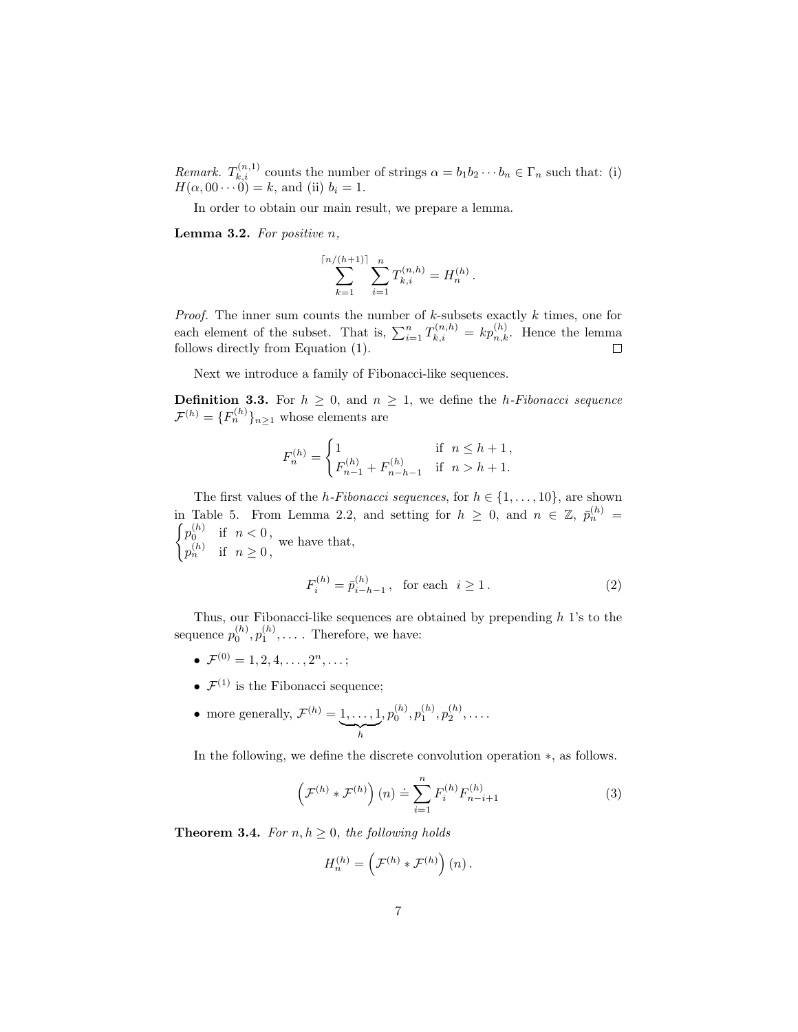*Remark.*  $T_{k,i}^{(n,1)}$  counts the number of strings  $\alpha = b_1 b_2 \cdots b_n \in \Gamma_n$  such that: (i)  $H(\alpha, 00 \cdots 0) = k$ , and (ii)  $b_i = 1$ .

In order to obtain our main result, we prepare a lemma.

**Lemma 3.2.** For positive  $n$ ,

$$
\sum_{k=1}^{\lceil n/(h+1)\rceil} \sum_{i=1}^n T_{k,i}^{(n,h)} = H_n^{(h)}.
$$

*Proof.* The inner sum counts the number of  $k$ -subsets exactly  $k$  times, one for each element of the subset. That is,  $\sum_{i=1}^{n} T_{k,i}^{(n,h)} = k p_{n,k}^{(h)}$ . Hence the lemma follows directly from Equation (1).

Next we introduce a family of Fibonacci-like sequences.

**Definition 3.3.** For  $h \geq 0$ , and  $n \geq 1$ , we define the *h*-Fibonacci sequence  $\mathcal{F}^{(h)} = \{F_n^{(h)}\}_{n \geq 1}$  whose elements are

$$
F_n^{(h)} = \begin{cases} 1 & \text{if } n \le h+1, \\ F_{n-1}^{(h)} + F_{n-h-1}^{(h)} & \text{if } n > h+1. \end{cases}
$$

The first values of the *h*-Fibonacci sequences, for  $h \in \{1, \ldots, 10\}$ , are shown in Table 5. From Lemma 2.2, and setting for  $h \geq 0$ , and  $n \in \mathbb{Z}$ ,  $\bar{p}_n^{(h)} = \int_{0}^{h} p_n^{(h)}$  if  $n < 0$  $p_0^{(h)}$  if  $n < 0$ ,  $p_n^{(h)}$  if  $n \geq 0$ , we have that,

$$
F_i^{(h)} = \bar{p}_{i-h-1}^{(h)}, \text{ for each } i \ge 1.
$$
 (2)

Thus, our Fibonacci-like sequences are obtained by prepending  $h$  1's to the sequence  $p_0^{(h)}, p_1^{(h)}, \ldots$ . Therefore, we have:

- $\bullet \ \mathcal{F}^{(0)} = 1, 2, 4, \ldots, 2^n, \ldots;$
- $\mathcal{F}^{(1)}$  is the Fibonacci sequence;
- more generally,  $\mathcal{F}^{(h)}=1,\ldots,1$  $\sum_{h}$  $,p_0^{(h)},p_1^{(h)},p_2^{(h)},\ldots.$

In the following, we define the discrete convolution operation ∗, as follows.

$$
\left(\mathcal{F}^{(h)} * \mathcal{F}^{(h)}\right)(n) \doteq \sum_{i=1}^{n} F_i^{(h)} F_{n-i+1}^{(h)}
$$
\n(3)

**Theorem 3.4.** For  $n, h \geq 0$ , the following holds

$$
H_n^{(h)} = \left(\mathcal{F}^{(h)} * \mathcal{F}^{(h)}\right)(n).
$$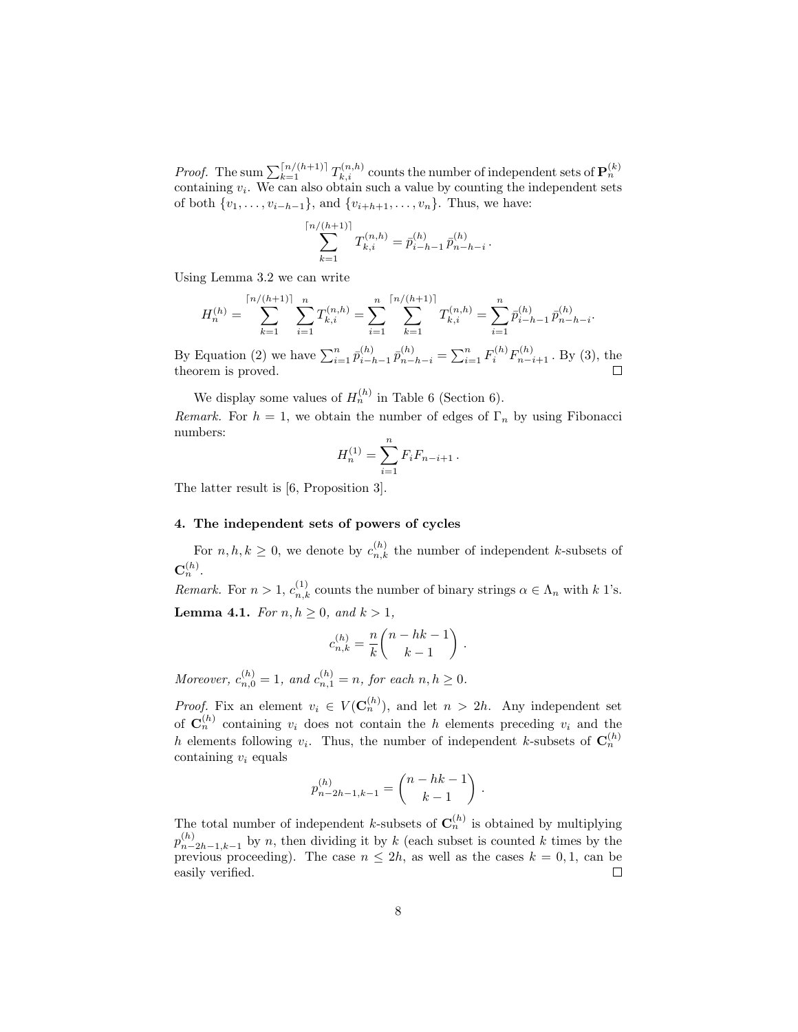*Proof.* The sum  $\sum_{k=1}^{\lceil n/(h+1) \rceil} T_{k,i}^{(n,h)}$  counts the number of independent sets of  $\mathbf{P}_n^{(k)}$ containing  $v_i$ . We can also obtain such a value by counting the independent sets of both  $\{v_1, \ldots, v_{i-h-1}\}$ , and  $\{v_{i+h+1}, \ldots, v_n\}$ . Thus, we have:

$$
\sum_{k=1}^{\lceil n/(h+1)\rceil} T_{k,i}^{(n,h)} = \bar{p}_{i-h-1}^{(h)} \,\bar{p}_{n-h-i}^{(h)}\,.
$$

Using Lemma 3.2 we can write

$$
H_n^{(h)} = \sum_{k=1}^{\lceil n/(h+1) \rceil} \sum_{i=1}^n T_{k,i}^{(n,h)} = \sum_{i=1}^n \sum_{k=1}^{\lceil n/(h+1) \rceil} T_{k,i}^{(n,h)} = \sum_{i=1}^n \bar{p}_{i-h-1}^{(h)} \bar{p}_{n-h-i}^{(h)}.
$$

By Equation (2) we have  $\sum_{i=1}^{n} \bar{p}_{i-j}^{(h)}$  $\bar{p}_{i-h-1}^{(h)}\bar{p}_{n-h-i}^{(h)} = \sum_{i=1}^{n} F_i^{(h)}F_{n-i+1}^{(h)}$ . By (3), the theorem is proved.

We display some values of  $H_n^{(h)}$  in Table 6 (Section 6).

Remark. For  $h = 1$ , we obtain the number of edges of  $\Gamma_n$  by using Fibonacci numbers:

$$
H_n^{(1)} = \sum_{i=1}^n F_i F_{n-i+1} \, .
$$

The latter result is [6, Proposition 3].

## 4. The independent sets of powers of cycles

For  $n, h, k \geq 0$ , we denote by  $c_{n,k}^{(h)}$  the number of independent k-subsets of  $\mathbf{C}_n^{(h)}.$ 

*Remark.* For  $n > 1$ ,  $c_{n,k}^{(1)}$  counts the number of binary strings  $\alpha \in \Lambda_n$  with k 1's. **Lemma 4.1.** For  $n, h \geq 0$ , and  $k > 1$ ,

$$
c_{n,k}^{(h)} = \frac{n}{k} \binom{n-hk-1}{k-1} \; .
$$

Moreover,  $c_{n,0}^{(h)} = 1$ , and  $c_{n,1}^{(h)} = n$ , for each  $n, h \ge 0$ .

*Proof.* Fix an element  $v_i \in V(\mathbf{C}_n^{(h)})$ , and let  $n > 2h$ . Any independent set of  $\mathbf{C}_n^{(h)}$  containing  $v_i$  does not contain the h elements preceding  $v_i$  and the h elements following  $v_i$ . Thus, the number of independent k-subsets of  $\mathbf{C}_n^{(h)}$ containing  $v_i$  equals

$$
p_{n-2h-1,k-1}^{(h)} = \binom{n-hk-1}{k-1}
$$

.

The total number of independent k-subsets of  $\mathbf{C}_n^{(h)}$  is obtained by multiplying  $p_{n-}^{(h)}$  $\binom{n}{n-2h-1,k-1}$  by n, then dividing it by k (each subset is counted k times by the previous proceeding). The case  $n \leq 2h$ , as well as the cases  $k = 0, 1$ , can be easily verified.  $\Box$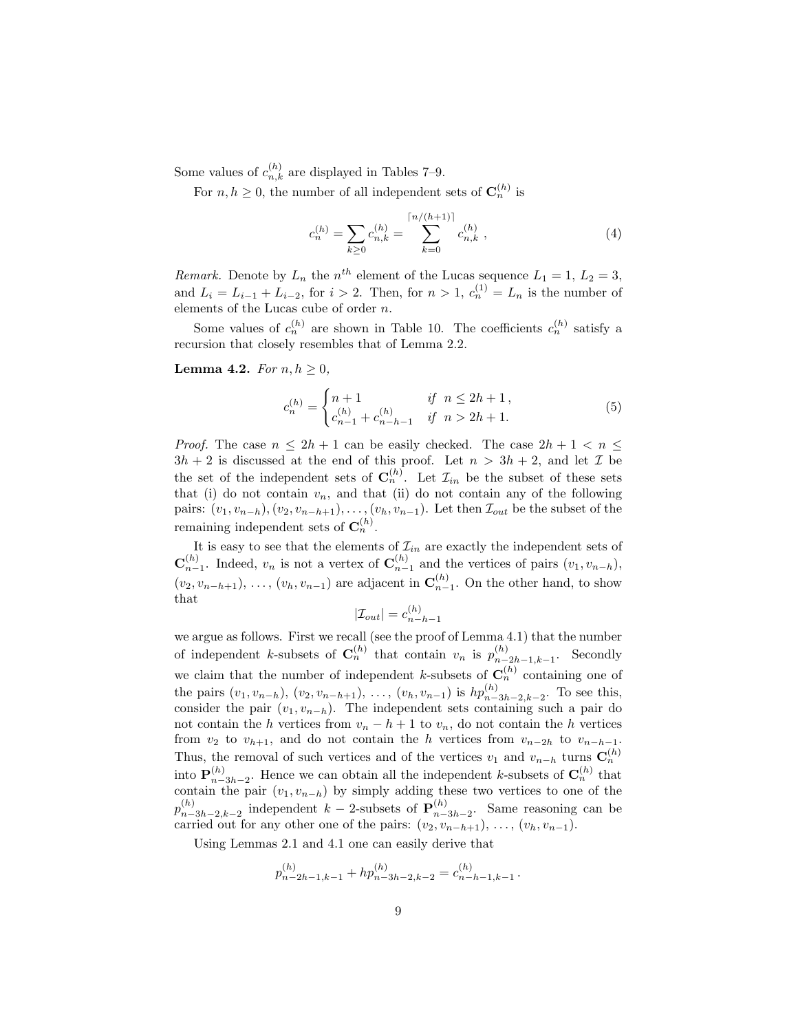Some values of  $c_{n,k}^{(h)}$  are displayed in Tables 7–9.

For  $n, h \geq 0$ , the number of all independent sets of  $\mathbf{C}_n^{(h)}$  is

$$
c_n^{(h)} = \sum_{k \ge 0} c_{n,k}^{(h)} = \sum_{k=0}^{\lceil n/(h+1) \rceil} c_{n,k}^{(h)}, \qquad (4)
$$

Remark. Denote by  $L_n$  the  $n^{th}$  element of the Lucas sequence  $L_1 = 1, L_2 = 3$ , and  $L_i = L_{i-1} + L_{i-2}$ , for  $i > 2$ . Then, for  $n > 1$ ,  $c_n^{(1)} = L_n$  is the number of elements of the Lucas cube of order n.

Some values of  $c_n^{(h)}$  are shown in Table 10. The coefficients  $c_n^{(h)}$  satisfy a recursion that closely resembles that of Lemma 2.2.

**Lemma 4.2.** For  $n, h \geq 0$ ,

$$
c_n^{(h)} = \begin{cases} n+1 & \text{if } n \le 2h+1, \\ c_{n-1}^{(h)} + c_{n-h-1}^{(h)} & \text{if } n > 2h+1. \end{cases}
$$
 (5)

*Proof.* The case  $n \leq 2h + 1$  can be easily checked. The case  $2h + 1 < n \leq$  $3h + 2$  is discussed at the end of this proof. Let  $n > 3h + 2$ , and let  $\mathcal I$  be the set of the independent sets of  $\mathbf{C}_n^{(h)}$ . Let  $\mathcal{I}_{in}$  be the subset of these sets that (i) do not contain  $v_n$ , and that (ii) do not contain any of the following pairs:  $(v_1, v_{n-h}), (v_2, v_{n-h+1}), \ldots, (v_h, v_{n-1})$ . Let then  $\mathcal{I}_{out}$  be the subset of the remaining independent sets of  $\mathbf{C}_n^{(h)}$ .

It is easy to see that the elements of  $\mathcal{I}_{in}$  are exactly the independent sets of  $\mathbf{C}_{n-1}^{(h)}$ . Indeed,  $v_n$  is not a vertex of  $\mathbf{C}_{n-1}^{(h)}$  and the vertices of pairs  $(v_1, v_{n-h}),$  $(v_2, v_{n-h+1}), \ldots, (v_h, v_{n-1})$  are adjacent in  $\mathbf{C}_{n-1}^{(h)}$ . On the other hand, to show that

$$
|\mathcal{I}_{out}| = c_{n-h-1}^{(h)}
$$

we argue as follows. First we recall (see the proof of Lemma 4.1) that the number of independent k-subsets of  $\mathbf{C}_n^{(h)}$  that contain  $v_n$  is  $p_{n-}^{(h)}$  $\sum_{n=2h-1,k-1}^{(h)}$ . Secondly we claim that the number of independent k-subsets of  $\mathbf{C}_n^{(h)}$  containing one of the pairs  $(v_1, v_{n-h}), (v_2, v_{n-h+1}), \ldots, (v_h, v_{n-1})$  is  $hp_{n-3h-2,k-2}^{(h)}$ . To see this, consider the pair  $(v_1, v_{n-h})$ . The independent sets containing such a pair do not contain the h vertices from  $v_n - h + 1$  to  $v_n$ , do not contain the h vertices from  $v_2$  to  $v_{h+1}$ , and do not contain the h vertices from  $v_{n-2h}$  to  $v_{n-h-1}$ . Thus, the removal of such vertices and of the vertices  $v_1$  and  $v_{n-h}$  turns  $\mathbf{C}_n^{(h)}$ into  ${\bf P}_{n-}^{(h)}$  ${}_{n-3h-2}^{(h)}$ . Hence we can obtain all the independent k-subsets of  $\mathbf{C}_n^{(h)}$  that contain the pair  $(v_1, v_{n-h})$  by simply adding these two vertices to one of the  $p_{n-}^{(h)}$  ${}_{n-3h-2,k-2}^{(h)}$  independent  $k-2$ -subsets of  $\mathbf{P}_{n-1}^{(h)}$  $\binom{n}{n-3h-2}$ . Same reasoning can be carried out for any other one of the pairs:  $(v_2, v_{n-h+1}), \ldots, (v_h, v_{n-1}).$ 

Using Lemmas 2.1 and 4.1 one can easily derive that

$$
p_{n-2h-1,k-1}^{(h)} + h p_{n-3h-2,k-2}^{(h)} = c_{n-h-1,k-1}^{(h)}.
$$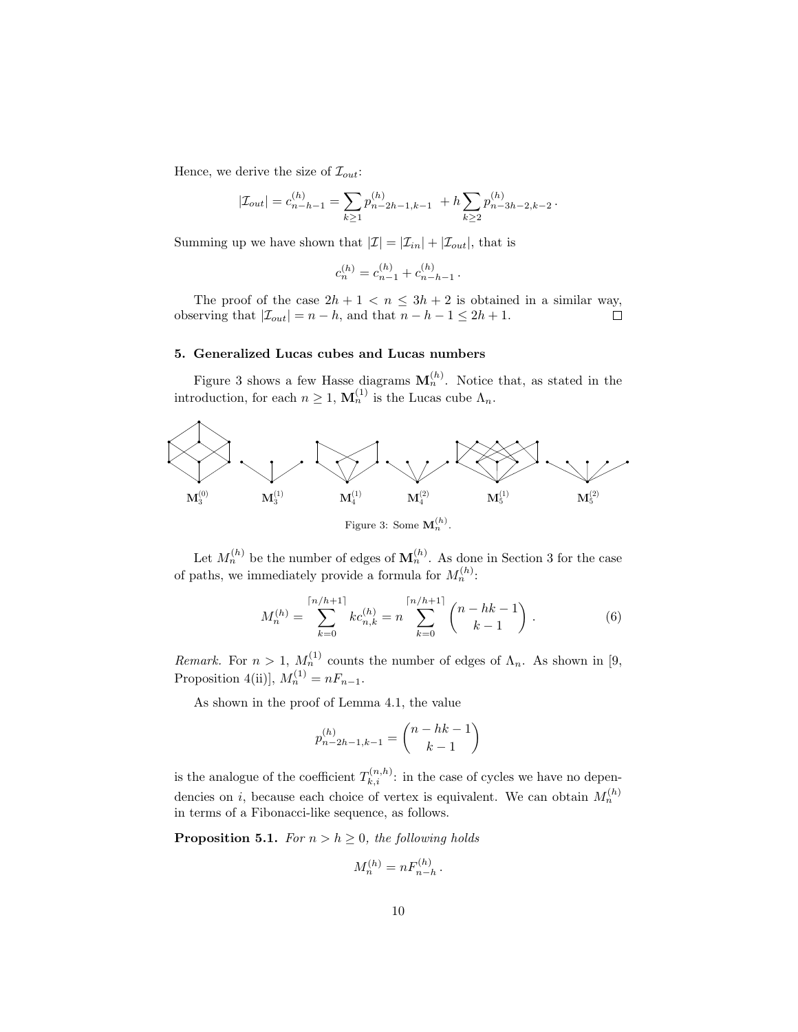Hence, we derive the size of  $\mathcal{I}_{out}$ :

$$
|\mathcal{I}_{out}| = c_{n-h-1}^{(h)} = \sum_{k \ge 1} p_{n-2h-1,k-1}^{(h)} + h \sum_{k \ge 2} p_{n-3h-2,k-2}^{(h)}.
$$

Summing up we have shown that  $|\mathcal{I}| = |\mathcal{I}_{in}| + |\mathcal{I}_{out}|$ , that is

$$
c_n^{(h)} = c_{n-1}^{(h)} + c_{n-h-1}^{(h)}.
$$

The proof of the case  $2h + 1 < n \leq 3h + 2$  is obtained in a similar way, observing that  $|\mathcal{I}_{out}| = n - h$ , and that  $n - h - 1 \leq 2h + 1$ .  $\Box$ 

## 5. Generalized Lucas cubes and Lucas numbers

Figure 3 shows a few Hasse diagrams  $M_n^{(h)}$ . Notice that, as stated in the introduction, for each  $n \geq 1$ ,  $\mathbf{M}_n^{(1)}$  is the Lucas cube  $\Lambda_n$ .



Figure 3: Some  $\mathbf{M}_n^{(h)}$ .

Let  $M_n^{(h)}$  be the number of edges of  $\mathbf{M}_n^{(h)}$ . As done in Section 3 for the case of paths, we immediately provide a formula for  $M_n^{(h)}$ :

$$
M_n^{(h)} = \sum_{k=0}^{\lceil n/h+1 \rceil} k c_{n,k}^{(h)} = n \sum_{k=0}^{\lceil n/h+1 \rceil} \binom{n-hk-1}{k-1} . \tag{6}
$$

Remark. For  $n > 1$ ,  $M_n^{(1)}$  counts the number of edges of  $\Lambda_n$ . As shown in [9, Proposition 4(ii)],  $M_n^{(1)} = nF_{n-1}$ .

As shown in the proof of Lemma 4.1, the value

$$
p_{n-2h-1,k-1}^{(h)} = \binom{n-hk-1}{k-1}
$$

is the analogue of the coefficient  $T_{k,i}^{(n,h)}$ : in the case of cycles we have no dependencies on *i*, because each choice of vertex is equivalent. We can obtain  $M_n^{(h)}$ in terms of a Fibonacci-like sequence, as follows.

**Proposition 5.1.** For  $n > h \geq 0$ , the following holds

$$
M_n^{(h)} = n F_{n-h}^{(h)}.
$$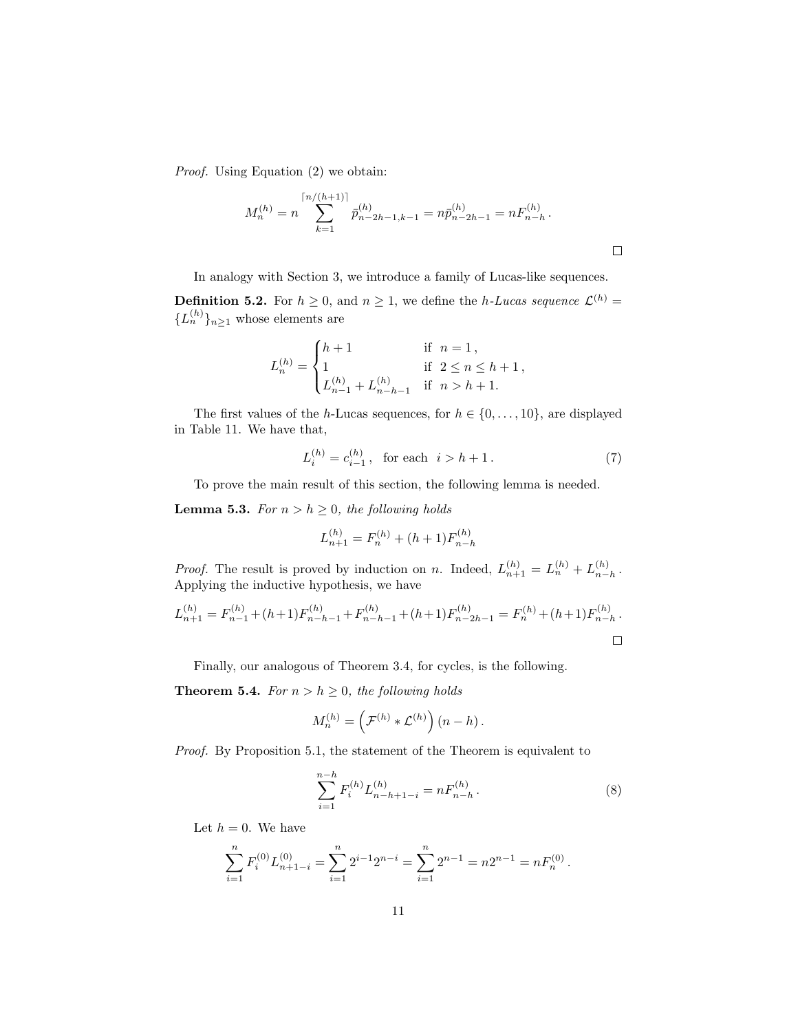Proof. Using Equation (2) we obtain:

$$
M_n^{(h)} = n \sum_{k=1}^{\lceil n/(h+1) \rceil} \bar{p}_{n-2h-1,k-1}^{(h)} = n \bar{p}_{n-2h-1}^{(h)} = n F_{n-h}^{(h)}.
$$

In analogy with Section 3, we introduce a family of Lucas-like sequences.

**Definition 5.2.** For  $h \geq 0$ , and  $n \geq 1$ , we define the *h*-Lucas sequence  $\mathcal{L}^{(h)}$  =  ${L_n^{(h)}}_{n\geq 1}$  whose elements are

$$
L_n^{(h)} = \begin{cases} h+1 & \text{if } n = 1, \\ 1 & \text{if } 2 \le n \le h+1, \\ L_{n-1}^{(h)} + L_{n-h-1}^{(h)} & \text{if } n > h+1. \end{cases}
$$

The first values of the h-Lucas sequences, for  $h \in \{0, \ldots, 10\}$ , are displayed in Table 11. We have that,

$$
L_i^{(h)} = c_{i-1}^{(h)}, \text{ for each } i > h+1.
$$
 (7)

To prove the main result of this section, the following lemma is needed.

**Lemma 5.3.** For  $n > h \geq 0$ , the following holds

$$
L_{n+1}^{(h)} = F_n^{(h)} + (h+1)F_{n-h}^{(h)}
$$

*Proof.* The result is proved by induction on n. Indeed,  $L_{n+1}^{(h)} = L_n^{(h)} + L_{n-1}^{(h)}$  $\binom{n}{n-h}$ . Applying the inductive hypothesis, we have

$$
L_{n+1}^{(h)} = F_{n-1}^{(h)} + (h+1)F_{n-h-1}^{(h)} + F_{n-h-1}^{(h)} + (h+1)F_{n-2h-1}^{(h)} = F_n^{(h)} + (h+1)F_{n-h}^{(h)}.
$$

Finally, our analogous of Theorem 3.4, for cycles, is the following.

**Theorem 5.4.** For  $n > h \geq 0$ , the following holds

$$
M_n^{(h)} = \left(\mathcal{F}^{(h)} * \mathcal{L}^{(h)}\right)(n-h).
$$

Proof. By Proposition 5.1, the statement of the Theorem is equivalent to

$$
\sum_{i=1}^{n-h} F_i^{(h)} L_{n-h+1-i}^{(h)} = n F_{n-h}^{(h)} .
$$
 (8)

Let  $h = 0$ . We have

$$
\sum_{i=1}^{n} F_i^{(0)} L_{n+1-i}^{(0)} = \sum_{i=1}^{n} 2^{i-1} 2^{n-i} = \sum_{i=1}^{n} 2^{n-1} = n 2^{n-1} = n F_n^{(0)}.
$$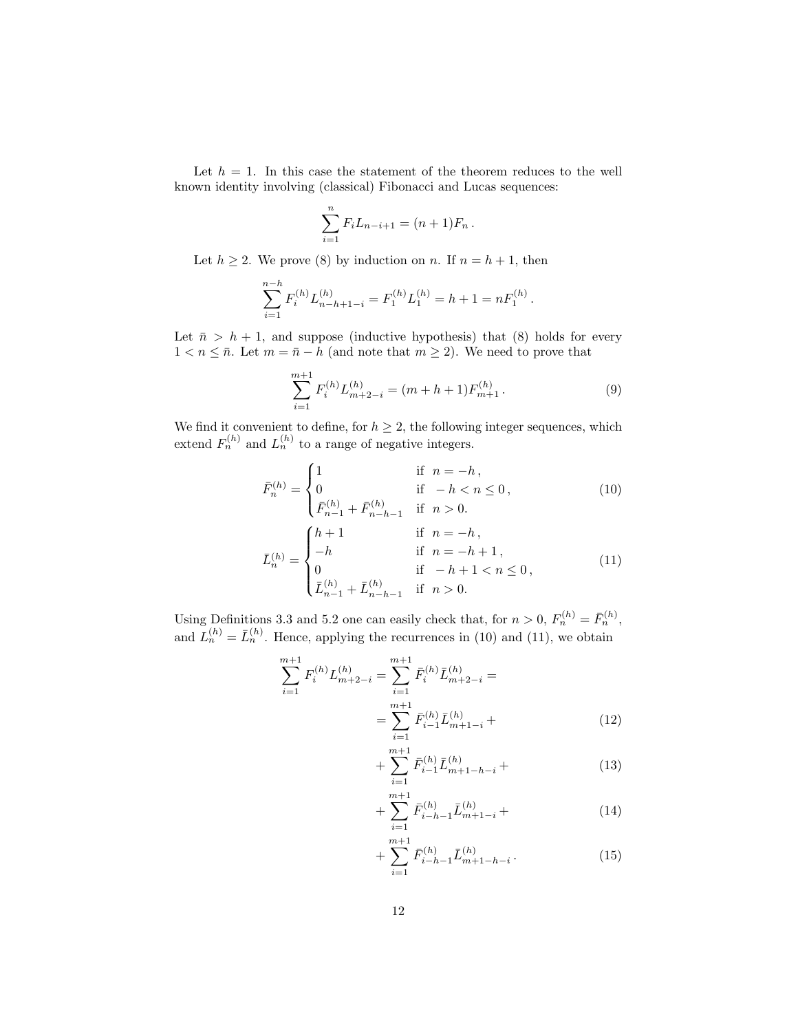Let  $h = 1$ . In this case the statement of the theorem reduces to the well known identity involving (classical) Fibonacci and Lucas sequences:

$$
\sum_{i=1}^{n} F_i L_{n-i+1} = (n+1) F_n.
$$

Let  $h \geq 2$ . We prove (8) by induction on n. If  $n = h + 1$ , then

$$
\sum_{i=1}^{n-h} F_i^{(h)} L_{n-h+1-i}^{(h)} = F_1^{(h)} L_1^{(h)} = h+1 = n F_1^{(h)}.
$$

Let  $\bar{n} > h + 1$ , and suppose (inductive hypothesis) that (8) holds for every  $1 < n \leq \bar{n}$ . Let  $m = \bar{n} - h$  (and note that  $m \geq 2$ ). We need to prove that

$$
\sum_{i=1}^{m+1} F_i^{(h)} L_{m+2-i}^{(h)} = (m+h+1) F_{m+1}^{(h)}.
$$
 (9)

We find it convenient to define, for  $h \geq 2$ , the following integer sequences, which extend  $F_n^{(h)}$  and  $L_n^{(h)}$  to a range of negative integers.

$$
\bar{F}_n^{(h)} = \begin{cases}\n1 & \text{if } n = -h, \\
0 & \text{if } -h < n \le 0, \\
\bar{F}_{n-1}^{(h)} + \bar{F}_{n-h-1}^{(h)} & \text{if } n > 0.\n\end{cases}
$$
\n(10)\n
$$
\begin{cases}\nh + 1 & \text{if } n = -h,\n\end{cases}
$$

$$
\bar{L}_{n}^{(h)} = \begin{cases}\nh+1 & \text{if } n = -h, \\
-h & \text{if } n = -h+1, \\
0 & \text{if } -h+1 < n \le 0, \\
\bar{L}_{n-1}^{(h)} + \bar{L}_{n-h-1}^{(h)} & \text{if } n > 0.\n\end{cases} \tag{11}
$$

Using Definitions 3.3 and 5.2 one can easily check that, for  $n > 0$ ,  $F_n^{(h)} = \overline{F}_n^{(h)}$ , and  $L_n^{(h)} = \bar{L}_n^{(h)}$ . Hence, applying the recurrences in (10) and (11), we obtain

$$
\sum_{i=1}^{m+1} F_i^{(h)} L_{m+2-i}^{(h)} = \sum_{i=1}^{m+1} \bar{F}_i^{(h)} \bar{L}_{m+2-i}^{(h)} =
$$

$$
= \sum_{i=1}^{m+1} \bar{F}_{i-1}^{(h)} \bar{L}_{m+1-i}^{(h)} +
$$
(12)

$$
+\sum_{i=1}^{m+1} \bar{F}_{i-1}^{(h)} \bar{L}_{m+1-h-i}^{(h)} + \tag{13}
$$

$$
+\sum_{i=1}^{m+1} \bar{F}_{i-h-1}^{(h)} \bar{L}_{m+1-i}^{(h)} + \tag{14}
$$

$$
+\sum_{i=1}^{m+1} \bar{F}_{i-h-1}^{(h)} \bar{L}_{m+1-h-i}^{(h)}.
$$
 (15)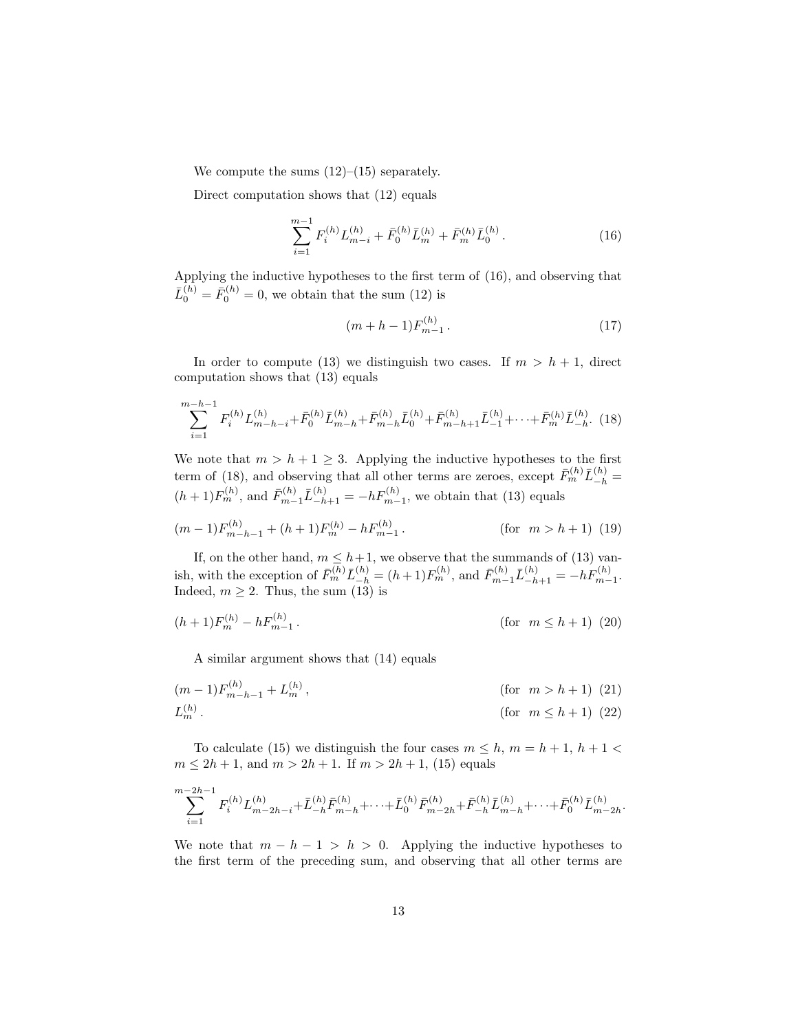We compute the sums  $(12)$ – $(15)$  separately.

Direct computation shows that (12) equals

$$
\sum_{i=1}^{m-1} F_i^{(h)} L_{m-i}^{(h)} + \bar{F}_0^{(h)} \bar{L}_m^{(h)} + \bar{F}_m^{(h)} \bar{L}_0^{(h)}.
$$
 (16)

Applying the inductive hypotheses to the first term of (16), and observing that  $\bar{L}_0^{(h)} = \bar{F}_0^{(h)} = 0$ , we obtain that the sum (12) is

$$
(m+h-1)F_{m-1}^{(h)}.
$$
\n(17)

In order to compute (13) we distinguish two cases. If  $m > h + 1$ , direct computation shows that (13) equals

$$
\sum_{i=1}^{m-h-1} F_i^{(h)} L_{m-h-i}^{(h)} + \bar{F}_0^{(h)} \bar{L}_{m-h}^{(h)} + \bar{F}_{m-h}^{(h)} \bar{L}_0^{(h)} + \bar{F}_{m-h+1}^{(h)} \bar{L}_{-1}^{(h)} + \dots + \bar{F}_m^{(h)} \bar{L}_{-h}^{(h)}.
$$
 (18)

We note that  $m > h + 1 \geq 3$ . Applying the inductive hypotheses to the first term of (18), and observing that all other terms are zeroes, except  $\bar{F}_m^{(h)} \bar{L}_{-h}^{(h)} =$  $(h+1)F_m^{(h)}$ , and  $\bar{F}_{m-1}^{(h)}\bar{L}_{-h+1}^{(h)} = -hF_{m-1}^{(h)}$ , we obtain that (13) equals

$$
(m-1)F_{m-h-1}^{(h)} + (h+1)F_m^{(h)} - hF_{m-1}^{(h)}.
$$
 (for  $m > h+1$ ) (19)

If, on the other hand,  $m \leq h+1$ , we observe that the summands of (13) vanish, with the exception of  $\bar{F}_m^{(h)} \bar{L}_{-h}^{(h)} = (h+1)F_m^{(h)}$ , and  $\bar{F}_{m-1}^{(h)} \bar{L}_{-h+1}^{(h)} = -hF_{m-1}^{(h)}$ . Indeed,  $m \geq 2$ . Thus, the sum (13) is

$$
(h+1)F_m^{(h)} - hF_{m-1}^{(h)}.
$$
 (for  $m \le h+1$ ) (20)

A similar argument shows that (14) equals

$$
(m-1)F_{m-h-1}^{(h)} + L_m^{(h)}, \qquad \text{(for } m > h+1) \tag{21}
$$
  

$$
L_m^{(h)}.
$$
 (for  $m \le h+1$ ) (22)

To calculate (15) we distinguish the four cases  $m \leq h$ ,  $m = h + 1$ ,  $h + 1 <$  $m \le 2h + 1$ , and  $m > 2h + 1$ . If  $m > 2h + 1$ , (15) equals

$$
\sum_{i=1}^{m-2h-1} F_i^{(h)} L_{m-2h-i}^{(h)} + \bar{L}_{-h}^{(h)} \bar{F}_{m-h}^{(h)} + \dots + \bar{L}_0^{(h)} \bar{F}_{m-2h}^{(h)} + \bar{F}_{-h}^{(h)} \bar{L}_{m-h}^{(h)} + \dots + \bar{F}_0^{(h)} \bar{L}_{m-2h}^{(h)}
$$

.

We note that  $m - h - 1 > h > 0$ . Applying the inductive hypotheses to the first term of the preceding sum, and observing that all other terms are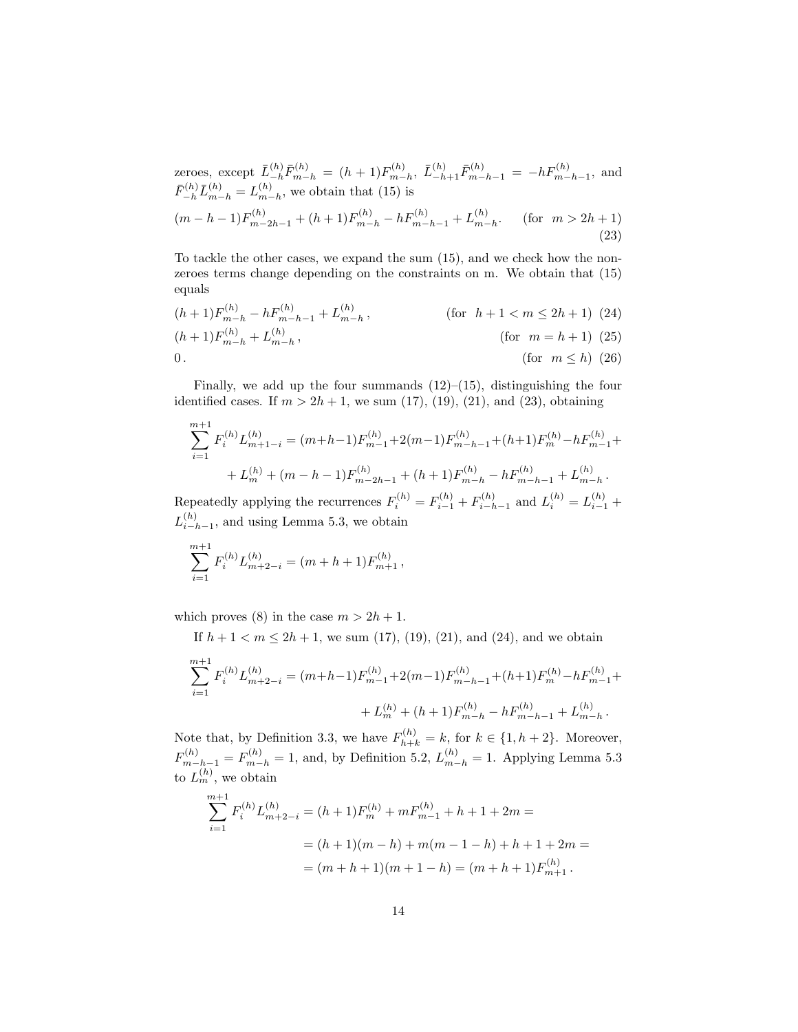zeroes, except  $\bar{L}_{-h}^{(h)} \bar{F}_{m-h}^{(h)} = (h+1) F_{m-h}^{(h)}$  $\bar{L}_{m-h}^{(h)}$ ,  $\bar{L}_{-h+1}^{(h)} \bar{F}_{m-h-1}^{(h)} = -h F_{m-h-1}^{(h)}$ , and  $\bar{F}_{-h}^{(h)} \bar{L}_{m-h}^{(h)} = L_{m-h}^{(h)}$  $\binom{n}{m-h}$ , we obtain that (15) is  $(m-h-1)F_{m-2h-1}^{(h)} + (h+1)F_{m-h}^{(h)} - hF_{m-h-1}^{(h)} + L_{m-h}^{(h)}$  $\binom{n}{m-h}$ . (for  $m > 2h+1$ ) (23)

To tackle the other cases, we expand the sum (15), and we check how the nonzeroes terms change depending on the constraints on m. We obtain that (15) equals

$$
(h+1)F_{m-h}^{(h)} - hF_{m-h-1}^{(h)} + L_{m-h}^{(h)},
$$
 (for  $h+1 < m \le 2h+1$ ) (24)  
\n
$$
(h+1)F_{m-h}^{(h)} + L_{m-h}^{(h)},
$$
 (for  $m = h+1$ ) (25)  
\n0. (for  $m \le h$ ) (26)

Finally, we add up the four summands  $(12)$ – $(15)$ , distinguishing the four identified cases. If  $m > 2h + 1$ , we sum (17), (19), (21), and (23), obtaining

$$
\sum_{i=1}^{m+1} F_i^{(h)} L_{m+1-i}^{(h)} = (m+h-1) F_{m-1}^{(h)} + 2(m-1) F_{m-h-1}^{(h)} + (h+1) F_m^{(h)} - h F_{m-1}^{(h)} + L_m^{(h)} + (m-h-1) F_{m-2h-1}^{(h)} + (h+1) F_{m-h}^{(h)} - h F_{m-h-1}^{(h)} + L_{m-h}^{(h)}.
$$

Repeatedly applying the recurrences  $F_i^{(h)} = F_{i-1}^{(h)} + F_{i-h}^{(h)}$  $L_{i-h-1}^{(h)}$  and  $L_i^{(h)} = L_{i-1}^{(h)} +$  $L_{i-1}^{(h)}$  $\binom{n}{i-h-1}$ , and using Lemma 5.3, we obtain

$$
\sum_{i=1}^{m+1} F_i^{(h)} L_{m+2-i}^{(h)} = (m+h+1) F_{m+1}^{(h)},
$$

which proves (8) in the case  $m > 2h + 1$ .

If 
$$
h + 1 < m \leq 2h + 1
$$
, we sum (17), (19), (21), and (24), and we obtain\n
$$
\sum_{i=1}^{m+1} F_i^{(h)} L_{m+2-i}^{(h)} = (m+h-1) F_{m-1}^{(h)} + 2(m-1) F_{m-h-1}^{(h)} + (h+1) F_m^{(h)} - h F_{m-1}^{(h)} + L_m^{(h)} + (h+1) F_{m-h}^{(h)} - h F_{m-h-1}^{(h)} + L_{m-h}^{(h)}.
$$

Note that, by Definition 3.3, we have  $F_{h+k}^{(h)} = k$ , for  $k \in \{1, h+2\}$ . Moreover,  $F_{m-h-1}^{(h)} = F_{m-h}^{(h)} = 1$ , and, by Definition 5.2,  $L_{m-h}^{(h)} = 1$ . Applying Lemma 5.3 to  $L_m^{(h)}$ , we obtain

$$
\sum_{i=1}^{m+1} F_i^{(h)} L_{m+2-i}^{(h)} = (h+1) F_m^{(h)} + m F_{m-1}^{(h)} + h + 1 + 2m =
$$
  
=  $(h+1)(m-h) + m(m-1-h) + h + 1 + 2m =$   
=  $(m+h+1)(m+1-h) = (m+h+1) F_{m+1}^{(h)}$ .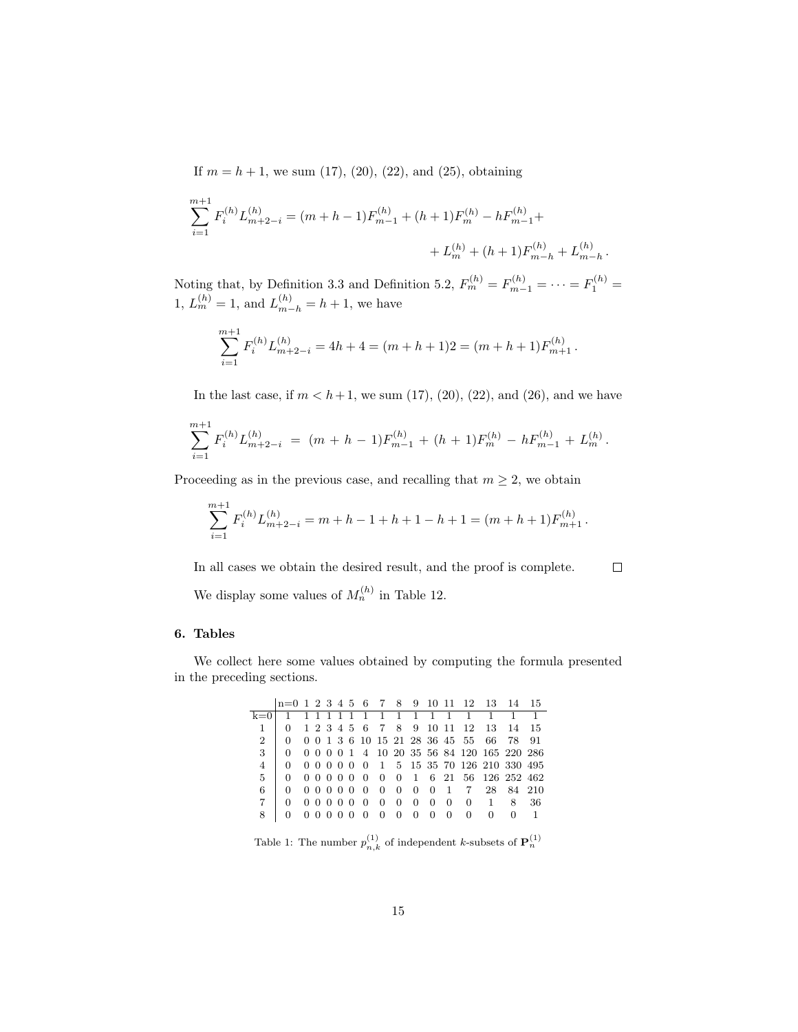If  $m = h + 1$ , we sum (17), (20), (22), and (25), obtaining

$$
\sum_{i=1}^{m+1} F_i^{(h)} L_{m+2-i}^{(h)} = (m+h-1)F_{m-1}^{(h)} + (h+1)F_m^{(h)} - hF_{m-1}^{(h)} +
$$
  
+  $L_m^{(h)} + (h+1)F_{m-h}^{(h)} + L_{m-h}^{(h)}$ 

Noting that, by Definition 3.3 and Definition 5.2,  $F_m^{(h)} = F_{m-1}^{(h)} = \cdots = F_1^{(h)} =$ 1,  $L_m^{(h)} = 1$ , and  $L_{m-h}^{(h)} = h + 1$ , we have

$$
\sum_{i=1}^{m+1} F_i^{(h)} L_{m+2-i}^{(h)} = 4h+4 = (m+h+1)2 = (m+h+1)F_{m+1}^{(h)}.
$$

In the last case, if  $m < h+1$ , we sum (17), (20), (22), and (26), and we have

$$
\sum_{i=1}^{m+1} F_i^{(h)} L_{m+2-i}^{(h)} = (m+h-1) F_{m-1}^{(h)} + (h+1) F_m^{(h)} - h F_{m-1}^{(h)} + L_m^{(h)}.
$$

Proceeding as in the previous case, and recalling that  $m \geq 2$ , we obtain

$$
\sum_{i=1}^{m+1} F_i^{(h)} L_{m+2-i}^{(h)} = m + h - 1 + h + 1 - h + 1 = (m + h + 1) F_{m+1}^{(h)}.
$$

In all cases we obtain the desired result, and the proof is complete.

 $\Box$ 

.

We display some values of  $M_n^{(h)}$  in Table 12.

## 6. Tables

We collect here some values obtained by computing the formula presented in the preceding sections.

|                | $n=0$ 1 2 3 4 5 6 7 8 9 10 11 12 13 14 15      |  |  |  |  |  |  |                                            |  |
|----------------|------------------------------------------------|--|--|--|--|--|--|--------------------------------------------|--|
|                |                                                |  |  |  |  |  |  |                                            |  |
| 1 <sub>1</sub> |                                                |  |  |  |  |  |  | 0 1 2 3 4 5 6 7 8 9 10 11 12 13 14 15      |  |
|                | 2 0 0 0 1 3 6 10 15 21 28 36 45 55 66 78 91    |  |  |  |  |  |  |                                            |  |
|                | 3 0 0 0 0 0 1 4 10 20 35 56 84 120 165 220 286 |  |  |  |  |  |  |                                            |  |
| $\overline{4}$ |                                                |  |  |  |  |  |  | 0 0 0 0 0 0 0 1 5 15 35 70 126 210 330 495 |  |
| 5 <sup>5</sup> |                                                |  |  |  |  |  |  | 0 0 0 0 0 0 0 0 0 1 6 21 56 126 252 462    |  |
| 6              |                                                |  |  |  |  |  |  | 0 0 0 0 0 0 0 0 0 0 0 1 7 28 84 210        |  |
|                |                                                |  |  |  |  |  |  | 0 0 0 0 0 0 0 0 0 0 0 0 0 1 8 36           |  |
|                |                                                |  |  |  |  |  |  | 0 0 0 0 0 0 0 0 0 0 0 0 0 0 1              |  |
|                |                                                |  |  |  |  |  |  |                                            |  |

Table 1: The number  $p_{n,k}^{(1)}$  of independent k-subsets of  $\mathbf{P}_n^{(1)}$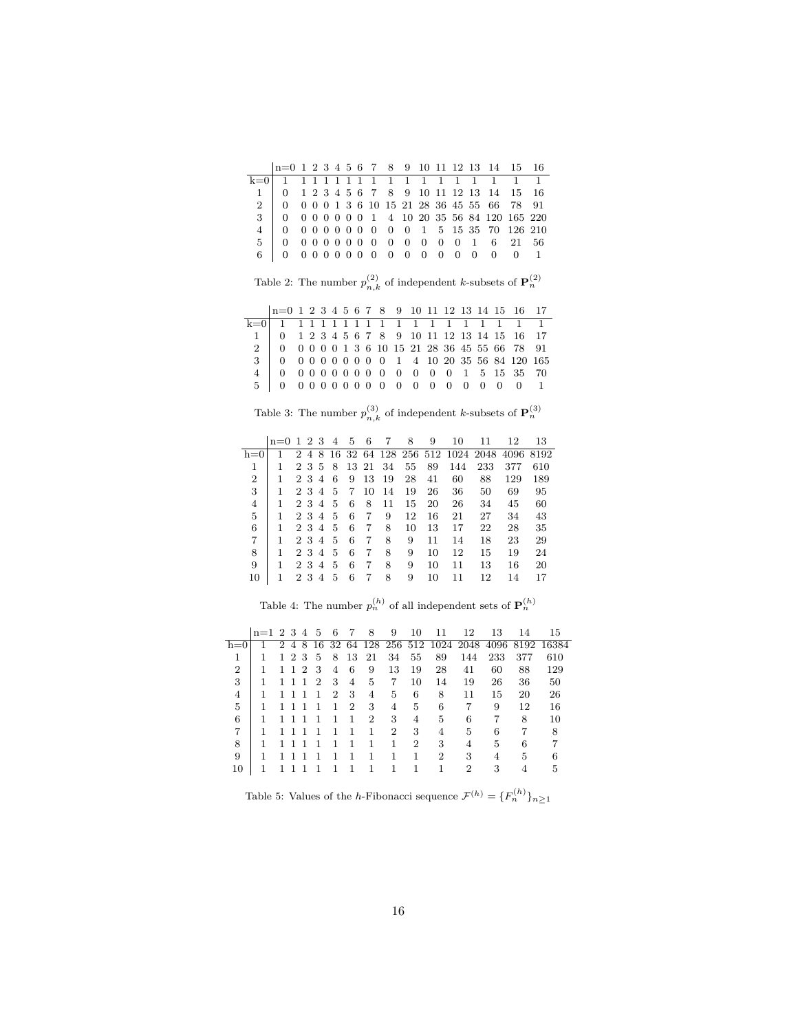| $n=0$ 1 2 3 4 5 6 7 8 9 10 11 12 13 14 15 16   |  |  |  |  |  |  |  |  |
|------------------------------------------------|--|--|--|--|--|--|--|--|
|                                                |  |  |  |  |  |  |  |  |
| 1 0 1 2 3 4 5 6 7 8 9 10 11 12 13 14 15 16     |  |  |  |  |  |  |  |  |
| 2 0 0 0 0 1 3 6 10 15 21 28 36 45 55 66 78 91  |  |  |  |  |  |  |  |  |
| 3 0 0 0 0 0 0 0 1 4 10 20 35 56 84 120 165 220 |  |  |  |  |  |  |  |  |
| 4 0 0 0 0 0 0 0 0 0 0 1 5 15 35 70 126 210     |  |  |  |  |  |  |  |  |
|                                                |  |  |  |  |  |  |  |  |
| 6 0 0 0 0 0 0 0 0 0 0 0 0 0 0 0 1              |  |  |  |  |  |  |  |  |

Table 2: The number  $p_{n,k}^{(2)}$  of independent k-subsets of  $\mathbf{P}_n^{(2)}$ 

| $n=0$ 1 2 3 4 5 6 7 8 9 10 11 12 13 14 15 16 17                                          |  |  |  |  |  |  |  |  |  |
|------------------------------------------------------------------------------------------|--|--|--|--|--|--|--|--|--|
|                                                                                          |  |  |  |  |  |  |  |  |  |
|                                                                                          |  |  |  |  |  |  |  |  |  |
|                                                                                          |  |  |  |  |  |  |  |  |  |
| $3 \ 0 \ 0 \ 0 \ 0 \ 0 \ 0 \ 0 \ 0 \ 0 \ 0 \ 1 \ 4 \ 10 \ 20 \ 35 \ 56 \ 84 \ 120 \ 165$ |  |  |  |  |  |  |  |  |  |
|                                                                                          |  |  |  |  |  |  |  |  |  |
| 5 0 0 0 0 0 0 0 0 0 0 0 0 0 0 0 0 1                                                      |  |  |  |  |  |  |  |  |  |

Table 3: The number  $p_{n,k}^{(3)}$  of independent k-subsets of  $\mathbf{P}_n^{(3)}$ 

|       | $n=0$ 1 2 3 |       | -4            | 5 | 6     | 7  | 8  | 9  | 10  | 11                                   | 12   | 13   |
|-------|-------------|-------|---------------|---|-------|----|----|----|-----|--------------------------------------|------|------|
| $h=0$ |             |       |               |   |       |    |    |    |     | 2 4 8 16 32 64 128 256 512 1024 2048 | 4096 | 8192 |
| 1     |             | 2 3 5 | -8            |   | 13 21 | 34 | 55 | 89 | 144 | 233                                  | 377  | 610  |
| 2     |             | 2 3 4 | 6             | 9 | 13    | 19 | 28 | 41 | 60  | 88                                   | 129  | 189  |
| 3     |             | 2 3 4 | -5            | 7 | 10    | 14 | 19 | 26 | 36  | 50                                   | 69   | 95   |
| 4     |             | 2 3 4 | $\frac{5}{2}$ | 6 | 8     | 11 | 15 | 20 | 26  | 34                                   | 45   | 60   |
| 5     |             | 2 3 4 | $\frac{5}{2}$ | 6 | 7     | 9  | 12 | 16 | 21  | 27                                   | 34   | 43   |
| 6     |             | 2 3 4 | $\frac{5}{2}$ | 6 | 7     | 8  | 10 | 13 | 17  | 22                                   | 28   | 35   |
| 7     |             | 2 3 4 | 5             | 6 | 7     | 8  | 9  | 11 | 14  | 18                                   | 23   | 29   |
| 8     |             | 2 3 4 | 5             | 6 | 7     | 8  | 9  | 10 | 12  | 15                                   | 19   | 24   |
| 9     |             | 2 3 4 | 5             | 6 | 7     | 8  | 9  | 10 | 11  | 13                                   | 16   | 20   |
| 10    |             | 2 3 4 | 5             | 6 | 7     | 8  | 9  | 10 | 11  | 12                                   | 14   | 17   |

Table 4: The number  $p_n^{(h)}$  of all independent sets of  $\mathbf{P}_n^{(h)}$ 

|       | $n=1$ 2 3 4 |    |                |               | -5 | 6              | 7  | 8              | 9              | 10 | 11             | 12                             | 13   | 14  | 15         |
|-------|-------------|----|----------------|---------------|----|----------------|----|----------------|----------------|----|----------------|--------------------------------|------|-----|------------|
| $h=0$ |             | 2. | 4              | 8             |    |                |    |                |                |    |                | 16 32 64 128 256 512 1024 2048 | 4096 |     | 8192 16384 |
| 1     |             | 1. | $\overline{2}$ | 3             | 5  | 8              | 13 | 21             | 34             | 55 | 89             | 144                            | 233  | 377 | 610        |
| 2     |             | 1  | 1.             | $\mathcal{D}$ | 3  | 4              | 6  | 9              | 13             | 19 | 28             | 41                             | 60   | 88  | 129        |
| 3     | 1           |    |                | 1             | 2  | 3              | 4  | 5              | 7              | 10 | 14             | 19                             | 26   | 36  | 50         |
| 4     |             |    |                |               | 1  | $\overline{2}$ | 3  | 4              | 5              | 6  | 8              | 11                             | 15   | 20  | 26         |
| 5     | 1           |    |                |               |    | 1              | 2  | 3              | 4              | 5  | 6              | 7                              | 9    | 12  | 16         |
| 6     | 1           |    |                |               |    |                | 1  | $\overline{2}$ | 3              | 4  | 5              | 6                              | 7    | 8   | 10         |
| 7     | 1           |    |                |               |    |                |    |                | $\overline{2}$ | 3  | 4              | 5                              | 6    | 7   | 8          |
| 8     | 1           |    |                |               |    |                |    |                |                | 2  | 3              | 4                              | 5    | 6   |            |
| 9     |             |    |                |               |    |                |    |                |                |    | $\overline{2}$ | 3                              | 4    | 5   |            |
| 10    |             |    |                |               |    |                |    |                |                |    |                | 2                              | 3    | 4   | 5          |

Table 5: Values of the *h*-Fibonacci sequence  $\mathcal{F}^{(h)} = \{F_n^{(h)}\}_{n \geq 1}$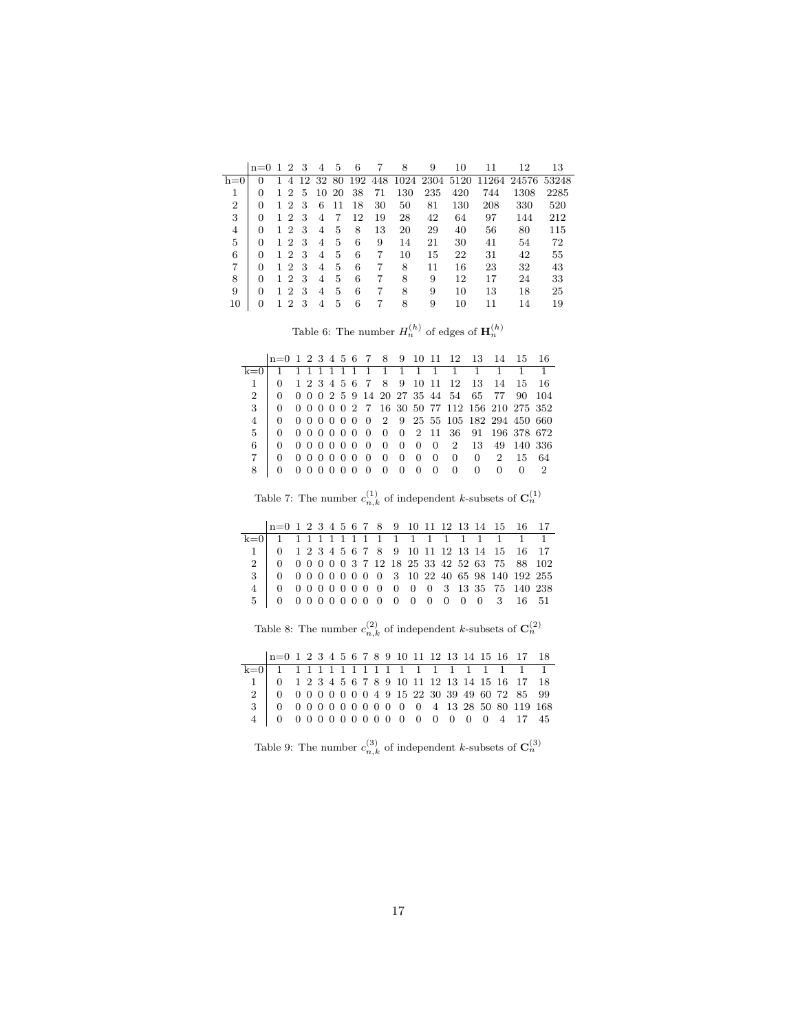|       | $n=0$    | $\mathbf{1}$ | $\overline{2}$ | 3 |    | 5   | 6  |    | 8   | 9                               | 10  | 11  | 12          | 13    |
|-------|----------|--------------|----------------|---|----|-----|----|----|-----|---------------------------------|-----|-----|-------------|-------|
| $h=0$ | $\theta$ |              | 4              |   |    |     |    |    |     | 12 32 80 192 448 1024 2304 5120 |     |     | 11264 24576 | 53248 |
|       | 0        |              | $\mathfrak{D}$ | 5 | 10 | -20 | 38 | 71 | 130 | 235                             | 420 | 744 | 1308        | 2285  |
| 2     | 0        | 1.           | $\mathfrak{D}$ | 3 | 6  | 11  | 18 | 30 | 50  | 81                              | 130 | 208 | 330         | 520   |
| 3     | 0        | 1.           | $\mathfrak{D}$ | 3 | 4  | 7   | 12 | 19 | 28  | 42                              | 64  | 97  | 144         | 212   |
| 4     | 0        | 1.           | $\mathfrak{D}$ | 3 | 4  | 5   | 8  | 13 | 20  | 29                              | 40  | 56  | 80          | 115   |
| 5     | 0        | 1.           | $\mathfrak{D}$ | 3 | 4  | 5   | 6  | 9  | 14  | 21                              | 30  | 41  | 54          | 72    |
| 6     | 0        | 1.           | $\mathfrak{D}$ | 3 | 4  | 5   | 6  | 7  | 10  | 15                              | 22  | 31  | 42          | 55    |
| 7     | 0        |              | 2              | 3 | 4  | 5   | 6  | 7  | 8   | 11                              | 16  | 23  | 32          | 43    |
| 8     | 0        | 1.           | 2              | 3 | 4  | 5   | 6  | 7  | 8   | 9                               | 12  | 17  | 24          | 33    |
| 9     | 0        | 1.           | 2              | 3 | 4  | 5   | 6  | 7  | 8   | 9                               | 10  | 13  | 18          | 25    |
| 10    | 0        |              | 2              | 3 | 4  | 5   | 6  |    | 8   | 9                               | 10  | 11  | 14          | 19    |

Table 6: The number  $H_n^{(h)}$  of edges of  $\mathbf{H}_n^{(h)}$ 

|              | $n=0$ 1 2 3 4 5 6 7 8 9 10 11 12 13 14 15 16 |  |                                        |  |                |                |                |                |                |                                             |   |                |       |                                                                                   |
|--------------|----------------------------------------------|--|----------------------------------------|--|----------------|----------------|----------------|----------------|----------------|---------------------------------------------|---|----------------|-------|-----------------------------------------------------------------------------------|
| $k=0$        | 1 1 1 1 1 1 1 1 1 1 1 1 1                    |  |                                        |  |                |                |                |                |                |                                             |   |                |       |                                                                                   |
|              |                                              |  |                                        |  |                |                |                |                |                | 1 2 3 4 5 6 7 8 9 10 11 12 13 14 15 16      |   |                |       |                                                                                   |
| $2^{\circ}$  |                                              |  |                                        |  |                |                |                |                |                | 0 0 0 2 5 9 14 20 27 35 44 54 65 77 90 104  |   |                |       |                                                                                   |
| $\mathbf{3}$ |                                              |  |                                        |  |                |                |                |                |                |                                             |   |                |       | $0 \t0 \t0 \t0 \t0 \t0 \t2 \t7 \t16 \t30 \t50 \t77 \t112 \t156 \t210 \t275 \t352$ |
|              |                                              |  |                                        |  |                |                |                |                |                | 0 0 0 0 0 0 0 2 9 25 55 105 182 294 450 660 |   |                |       |                                                                                   |
| $5^{\circ}$  |                                              |  |                                        |  |                |                |                |                |                | 0 0 0 0 0 0 0 0 0 2 11 36 91 196 378 672    |   |                |       |                                                                                   |
| 6            |                                              |  |                                        |  | 0000000        | $\overline{0}$ | $\overline{0}$ |                |                | 0 0 2 13 49 140 336                         |   |                |       |                                                                                   |
|              |                                              |  | $0\quad 0\quad 0\quad 0\quad 0\quad 0$ |  | $\overline{0}$ | $\overline{0}$ | $\overline{0}$ | $\overline{0}$ | $\overline{0}$ | $\Box$                                      | 0 | $\overline{2}$ | 15 64 |                                                                                   |
|              |                                              |  | 0 0 0 0 0 0                            |  | $\overline{0}$ | $\overline{0}$ | $\overline{0}$ | $\theta$       | $\Omega$       |                                             |   |                |       |                                                                                   |

Table 7: The number  $c_{n,k}^{(1)}$  of independent k-subsets of  $\mathbf{C}_n^{(1)}$ 

| $n=0$ 1 2 3 4 5 6 7 8 9 10 11 12 13 14 15 16 17                                                                                                |  |  |  |  |  |  |  |  |  |
|------------------------------------------------------------------------------------------------------------------------------------------------|--|--|--|--|--|--|--|--|--|
|                                                                                                                                                |  |  |  |  |  |  |  |  |  |
| $1 \begin{array}{ rrrrrrrrrrrrrrrrrrrrrrrrrrrr} 1 & 0 & 1 & 2 & 3 & 4 & 5 & 6 & 7 & 8 & 9 & 10 & 11 & 12 & 13 & 14 & 15 & 16 & 17 \end{array}$ |  |  |  |  |  |  |  |  |  |
|                                                                                                                                                |  |  |  |  |  |  |  |  |  |
| $3 \ 0 \ 0 \ 0 \ 0 \ 0 \ 0 \ 0 \ 0 \ 0 \ 0 \ 3 \ 10 \ 22 \ 40 \ 65 \ 98 \ 140 \ 192 \ 255$                                                     |  |  |  |  |  |  |  |  |  |
|                                                                                                                                                |  |  |  |  |  |  |  |  |  |
|                                                                                                                                                |  |  |  |  |  |  |  |  |  |

Table 8: The number  $c_{n,k}^{(2)}$  of independent k-subsets of  $\mathbf{C}_n^{(2)}$ 

| $n=0 1 2 3 4 5 6 7 8 9 10 11 12 13 14 15 16 17 18$ |  |  |  |  |  |  |  |  |  |
|----------------------------------------------------|--|--|--|--|--|--|--|--|--|
|                                                    |  |  |  |  |  |  |  |  |  |
|                                                    |  |  |  |  |  |  |  |  |  |
|                                                    |  |  |  |  |  |  |  |  |  |
|                                                    |  |  |  |  |  |  |  |  |  |
|                                                    |  |  |  |  |  |  |  |  |  |

Table 9: The number  $c_{n,k}^{(3)}$  of independent k-subsets of  $\mathbf{C}_n^{(3)}$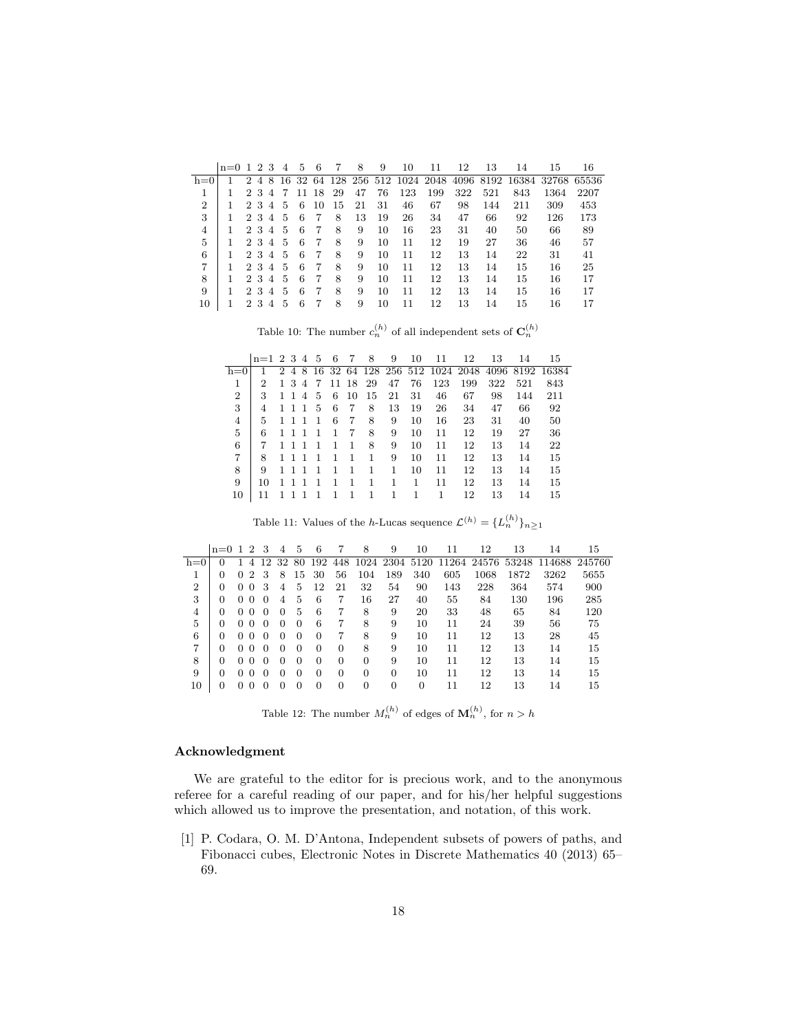|                | $n=0$ 1 2 3 |                             |                |                | 4 | 5  | 6   |    | 8  | 9  | 10  | 11                               | 12  | 13  | 14              | 15          | 16   |
|----------------|-------------|-----------------------------|----------------|----------------|---|----|-----|----|----|----|-----|----------------------------------|-----|-----|-----------------|-------------|------|
| $h=0$          |             | $\mathcal{D}_{\mathcal{L}}$ | 4 <sup>1</sup> |                |   |    |     |    |    |    |     | 8 16 32 64 128 256 512 1024 2048 |     |     | 4096 8192 16384 | 32768 65536 |      |
|                |             |                             | 23             | $\overline{4}$ | 7 | 11 | -18 | 29 | 47 | 76 | 123 | 199                              | 322 | 521 | 843             | 1364        | 2207 |
| $\overline{2}$ |             | $\mathcal{D}_{\mathcal{L}}$ | -3             | 4              | 5 | 6  | 10  | 15 | 21 | 31 | 46  | 67                               | 98  | 144 | 211             | 309         | 453  |
| 3              |             | $\mathcal{D}_{\mathcal{L}}$ | -3             | 4              | 5 | 6  | 7   | 8  | 13 | 19 | 26  | 34                               | 47  | 66  | 92              | 126         | 173  |
| 4              |             | $\mathcal{D}_{\mathcal{L}}$ | 3              | 4              | 5 | 6  | 7   | 8  | 9  | 10 | 16  | 23                               | 31  | 40  | 50              | 66          | 89   |
| 5              |             | $\overline{2}$              | 3              | 4              | 5 | 6  | 7   | 8  | 9  | 10 | 11  | 12                               | 19  | 27  | 36              | 46          | 57   |
| 6              |             | 2                           | -3             | 4              | 5 | 6  |     | 8  | 9  | 10 | 11  | 12                               | 13  | 14  | 22              | 31          | 41   |
| 7              |             |                             | 23             | 4              | 5 | 6  |     | 8  | 9  | 10 | 11  | 12                               | 13  | 14  | 15              | 16          | 25   |
| 8              |             | 2                           | -3             | $\overline{4}$ | 5 | 6  | 7   | 8  | 9  | 10 | 11  | 12                               | 13  | 14  | 15              | 16          | 17   |
| 9              |             | 2                           | 3              | $\overline{4}$ | 5 | 6  | 7   | 8  | 9  | 10 | 11  | 12                               | 13  | 14  | 15              | 16          | 17   |
| 10             |             | 2                           | 3              | 4              | 5 | 6  |     | 8  | 9  | 10 | 11  | 12                               | 13  | 14  | 15              | 16          | 17   |

Table 10: The number  $c_n^{(h)}$  of all independent sets of  $\mathbf{C}_n^{(h)}$ 

|                | $n=1$ 2 3 4 5 |              |        |       |                 | 6 | 7              | 8        | 9  | 10 | 11  | 12  | 13  | 14  | 15                                                   |
|----------------|---------------|--------------|--------|-------|-----------------|---|----------------|----------|----|----|-----|-----|-----|-----|------------------------------------------------------|
| h=0            |               |              |        |       |                 |   |                |          |    |    |     |     |     |     | 2 4 8 16 32 64 128 256 512 1024 2048 4096 8192 16384 |
|                | 2             |              |        | 1 3 4 | -7              |   |                | 11 18 29 | 47 | 76 | 123 | 199 | 322 | 521 | 843                                                  |
| $\overline{2}$ | 3             |              | $1\;1$ |       | 4 5             | 6 | - 10           | 15       | 21 | 31 | 46  | 67  | 98  | 144 | 211                                                  |
| 3              | 4             |              | $1\,1$ | -1    | $5\overline{)}$ | 6 | -7             | 8        | 13 | 19 | 26  | 34  | 47  | 66  | 92                                                   |
| 4              | 5             |              | $1\;1$ | -1    | $\mathbf{1}$    | 6 | - 7            | 8        | 9  | 10 | 16  | 23  | 31  | 40  | 50                                                   |
| 5              | 6             |              | $1\,1$ | -1    | $\mathbf{1}$    | 1 | 7              | 8        | 9  | 10 | 11  | 12  | 19  | 27  | 36                                                   |
| 6              | 7             | $1\quad1$    |        | -1    | -1              | 1 | -1             | 8        | 9  | 10 | 11  | 12  | 13  | 14  | 22                                                   |
| 7              | 8             |              | $1\,1$ | -1    | $\mathbf{1}$    | 1 | -1             | 1        | 9  | 10 | 11  | 12  | 13  | 14  | 15                                                   |
| 8              | 9             | $1\,1$       |        |       | 1               | 1 | -1             | 1        | 1  | 10 | 11  | 12  | 13  | 14  | 15                                                   |
| 9              | 10            | $\mathbf{1}$ | -1     | -1    | 1               | 1 | $\overline{1}$ | 1        | 1  | 1  | 11  | 12  | 13  | 14  | 15                                                   |
| 10             | 11            |              |        |       | $\mathbf{1}$    | 1 | $\overline{1}$ | 1        | 1  | 1  | 1   | 12  | 13  | 14  | 15                                                   |

Table 11: Values of the *h*-Lucas sequence  $\mathcal{L}^{(h)} = \{L_n^{(h)}\}_{n \geq 1}$ 

|                | $n=0$ 1 2 3 |          |                |          | 4        | 5        | 6        | 7        | 8        | 9        | 10  | 11  | 12   | 13   | 14                                                    | 15     |
|----------------|-------------|----------|----------------|----------|----------|----------|----------|----------|----------|----------|-----|-----|------|------|-------------------------------------------------------|--------|
| $h=0$          | 0           | 1.       | 4              | 12       |          |          |          |          |          |          |     |     |      |      | 32 80 192 448 1024 2304 5120 11264 24576 53248 114688 | 245760 |
|                | 0           | $\Omega$ | $\overline{2}$ | 3        | 8        | 15       | 30       | 56       | 104      | 189      | 340 | 605 | 1068 | 1872 | 3262                                                  | 5655   |
| $\overline{2}$ | 0           |          | 0 <sub>0</sub> | 3        | 4        | 5        | 12       | 21       | 32       | 54       | 90  | 143 | 228  | 364  | 574                                                   | 900    |
| 3              | 0           | $\Omega$ | $\theta$       | $\Omega$ | 4        | 5        | 6        | 7        | 16       | 27       | 40  | 55  | 84   | 130  | 196                                                   | 285    |
| 4              | 0           | $\sim$ 0 | $\theta$       | $\theta$ | 0        | 5        | 6        | 7        | 8        | 9        | 20  | 33  | 48   | 65   | 84                                                    | 120    |
| 5              | 0           | 0        | $\Omega$       | $\Omega$ | 0        | $\Omega$ | 6        | 7        | 8        | 9        | 10  | 11  | 24   | 39   | 56                                                    | 75     |
| 6              | 0           | $\Omega$ | $\Omega$       | $\Omega$ | 0        | $\Omega$ | $\Omega$ | 7        | 8        | 9        | 10  | 11  | 12   | 13   | 28                                                    | 45     |
| 7              | 0           | $\Omega$ | $\Omega$       | $\Omega$ | 0        | $\Omega$ | $\Omega$ | $\Omega$ | 8        | 9        | 10  | 11  | 12   | 13   | 14                                                    | 15     |
| 8              | 0           | 0        | $\Omega$       | $\Omega$ | 0        | $\Omega$ | $\Omega$ | $\Omega$ | $\Omega$ | 9        | 10  | 11  | 12   | 13   | 14                                                    | 15     |
| 9              | 0           | $\Omega$ | $\Omega$       | $\Omega$ | $\Omega$ | $\Omega$ | $\Omega$ | $\Omega$ | $\Omega$ | $\Omega$ | 10  | 11  | 12   | 13   | 14                                                    | 15     |
| 10             | 0           | 0        | $\theta$       | $\Omega$ | ∩        | 0        | 0        | $\Omega$ | 0        | 0        | 0   | 11  | 12   | 13   | 14                                                    | 15     |
|                |             |          |                |          |          |          |          |          |          |          |     |     |      |      |                                                       |        |

Table 12: The number  $M_n^{(h)}$  of edges of  $\mathbf{M}_n^{(h)}$ , for  $n > h$ 

# Acknowledgment

We are grateful to the editor for is precious work, and to the anonymous referee for a careful reading of our paper, and for his/her helpful suggestions which allowed us to improve the presentation, and notation, of this work.

[1] P. Codara, O. M. D'Antona, Independent subsets of powers of paths, and Fibonacci cubes, Electronic Notes in Discrete Mathematics 40 (2013) 65– 69.